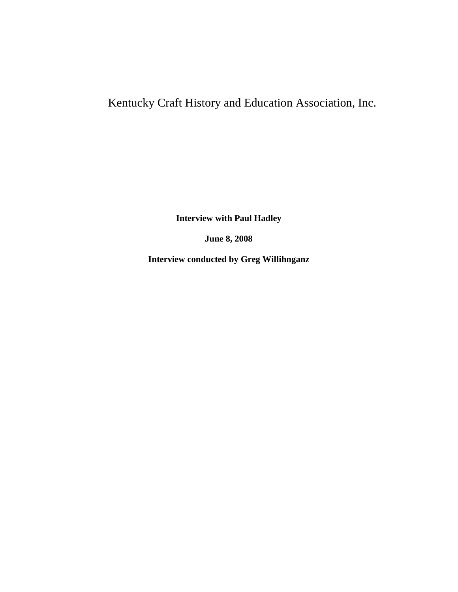# Kentucky Craft History and Education Association, Inc.

**Interview with Paul Hadley**

**June 8, 2008**

**Interview conducted by Greg Willihnganz**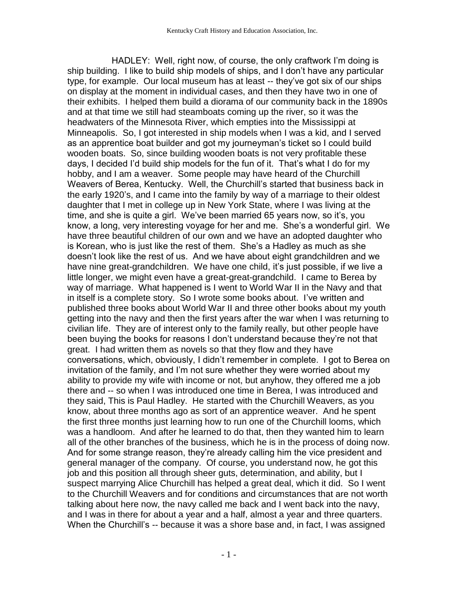HADLEY: Well, right now, of course, the only craftwork I'm doing is ship building. I like to build ship models of ships, and I don't have any particular type, for example. Our local museum has at least -- they've got six of our ships on display at the moment in individual cases, and then they have two in one of their exhibits. I helped them build a diorama of our community back in the 1890s and at that time we still had steamboats coming up the river, so it was the headwaters of the Minnesota River, which empties into the Mississippi at Minneapolis. So, I got interested in ship models when I was a kid, and I served as an apprentice boat builder and got my journeyman's ticket so I could build wooden boats. So, since building wooden boats is not very profitable these days, I decided I'd build ship models for the fun of it. That's what I do for my hobby, and I am a weaver. Some people may have heard of the Churchill Weavers of Berea, Kentucky. Well, the Churchill's started that business back in the early 1920's, and I came into the family by way of a marriage to their oldest daughter that I met in college up in New York State, where I was living at the time, and she is quite a girl. We've been married 65 years now, so it's, you know, a long, very interesting voyage for her and me. She's a wonderful girl. We have three beautiful children of our own and we have an adopted daughter who is Korean, who is just like the rest of them. She's a Hadley as much as she doesn't look like the rest of us. And we have about eight grandchildren and we have nine great-grandchildren. We have one child, it's just possible, if we live a little longer, we might even have a great-great-grandchild. I came to Berea by way of marriage. What happened is I went to World War II in the Navy and that in itself is a complete story. So I wrote some books about. I've written and published three books about World War II and three other books about my youth getting into the navy and then the first years after the war when I was returning to civilian life. They are of interest only to the family really, but other people have been buying the books for reasons I don't understand because they're not that great. I had written them as novels so that they flow and they have conversations, which, obviously, I didn't remember in complete. I got to Berea on invitation of the family, and I'm not sure whether they were worried about my ability to provide my wife with income or not, but anyhow, they offered me a job there and -- so when I was introduced one time in Berea, I was introduced and they said, This is Paul Hadley. He started with the Churchill Weavers, as you know, about three months ago as sort of an apprentice weaver. And he spent the first three months just learning how to run one of the Churchill looms, which was a handloom. And after he learned to do that, then they wanted him to learn all of the other branches of the business, which he is in the process of doing now. And for some strange reason, they're already calling him the vice president and general manager of the company. Of course, you understand now, he got this job and this position all through sheer guts, determination, and ability, but I suspect marrying Alice Churchill has helped a great deal, which it did. So I went to the Churchill Weavers and for conditions and circumstances that are not worth talking about here now, the navy called me back and I went back into the navy, and I was in there for about a year and a half, almost a year and three quarters. When the Churchill's -- because it was a shore base and, in fact, I was assigned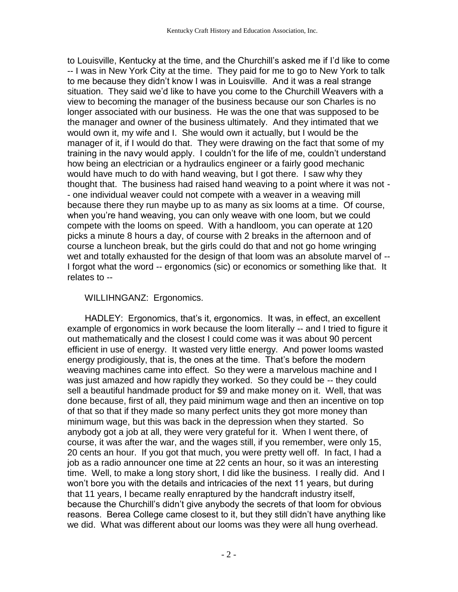to Louisville, Kentucky at the time, and the Churchill's asked me if I'd like to come -- I was in New York City at the time. They paid for me to go to New York to talk to me because they didn't know I was in Louisville. And it was a real strange situation. They said we'd like to have you come to the Churchill Weavers with a view to becoming the manager of the business because our son Charles is no longer associated with our business. He was the one that was supposed to be the manager and owner of the business ultimately. And they intimated that we would own it, my wife and I. She would own it actually, but I would be the manager of it, if I would do that. They were drawing on the fact that some of my training in the navy would apply. I couldn't for the life of me, couldn't understand how being an electrician or a hydraulics engineer or a fairly good mechanic would have much to do with hand weaving, but I got there. I saw why they thought that. The business had raised hand weaving to a point where it was not - - one individual weaver could not compete with a weaver in a weaving mill because there they run maybe up to as many as six looms at a time. Of course, when you're hand weaving, you can only weave with one loom, but we could compete with the looms on speed. With a handloom, you can operate at 120 picks a minute 8 hours a day, of course with 2 breaks in the afternoon and of course a luncheon break, but the girls could do that and not go home wringing wet and totally exhausted for the design of that loom was an absolute marvel of -- I forgot what the word -- ergonomics (sic) or economics or something like that. It relates to --

## WILLIHNGANZ: Ergonomics.

 HADLEY: Ergonomics, that's it, ergonomics. It was, in effect, an excellent example of ergonomics in work because the loom literally -- and I tried to figure it out mathematically and the closest I could come was it was about 90 percent efficient in use of energy. It wasted very little energy. And power looms wasted energy prodigiously, that is, the ones at the time. That's before the modern weaving machines came into effect. So they were a marvelous machine and I was just amazed and how rapidly they worked. So they could be -- they could sell a beautiful handmade product for \$9 and make money on it. Well, that was done because, first of all, they paid minimum wage and then an incentive on top of that so that if they made so many perfect units they got more money than minimum wage, but this was back in the depression when they started. So anybody got a job at all, they were very grateful for it. When I went there, of course, it was after the war, and the wages still, if you remember, were only 15, 20 cents an hour. If you got that much, you were pretty well off. In fact, I had a job as a radio announcer one time at 22 cents an hour, so it was an interesting time. Well, to make a long story short, I did like the business. I really did. And I won't bore you with the details and intricacies of the next 11 years, but during that 11 years, I became really enraptured by the handcraft industry itself, because the Churchill's didn't give anybody the secrets of that loom for obvious reasons. Berea College came closest to it, but they still didn't have anything like we did. What was different about our looms was they were all hung overhead.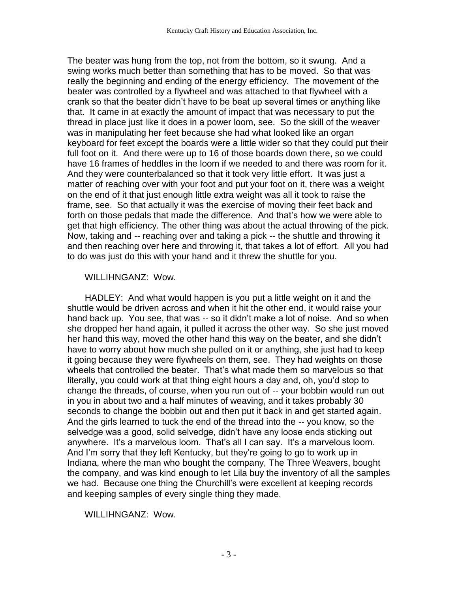The beater was hung from the top, not from the bottom, so it swung. And a swing works much better than something that has to be moved. So that was really the beginning and ending of the energy efficiency. The movement of the beater was controlled by a flywheel and was attached to that flywheel with a crank so that the beater didn't have to be beat up several times or anything like that. It came in at exactly the amount of impact that was necessary to put the thread in place just like it does in a power loom, see. So the skill of the weaver was in manipulating her feet because she had what looked like an organ keyboard for feet except the boards were a little wider so that they could put their full foot on it. And there were up to 16 of those boards down there, so we could have 16 frames of heddles in the loom if we needed to and there was room for it. And they were counterbalanced so that it took very little effort. It was just a matter of reaching over with your foot and put your foot on it, there was a weight on the end of it that just enough little extra weight was all it took to raise the frame, see. So that actually it was the exercise of moving their feet back and forth on those pedals that made the difference. And that's how we were able to get that high efficiency. The other thing was about the actual throwing of the pick. Now, taking and -- reaching over and taking a pick -- the shuttle and throwing it and then reaching over here and throwing it, that takes a lot of effort. All you had to do was just do this with your hand and it threw the shuttle for you.

#### WILLIHNGANZ: Wow.

 HADLEY: And what would happen is you put a little weight on it and the shuttle would be driven across and when it hit the other end, it would raise your hand back up. You see, that was -- so it didn't make a lot of noise. And so when she dropped her hand again, it pulled it across the other way. So she just moved her hand this way, moved the other hand this way on the beater, and she didn't have to worry about how much she pulled on it or anything, she just had to keep it going because they were flywheels on them, see. They had weights on those wheels that controlled the beater. That's what made them so marvelous so that literally, you could work at that thing eight hours a day and, oh, you'd stop to change the threads, of course, when you run out of -- your bobbin would run out in you in about two and a half minutes of weaving, and it takes probably 30 seconds to change the bobbin out and then put it back in and get started again. And the girls learned to tuck the end of the thread into the -- you know, so the selvedge was a good, solid selvedge, didn't have any loose ends sticking out anywhere. It's a marvelous loom. That's all I can say. It's a marvelous loom. And I'm sorry that they left Kentucky, but they're going to go to work up in Indiana, where the man who bought the company, The Three Weavers, bought the company, and was kind enough to let Lila buy the inventory of all the samples we had. Because one thing the Churchill's were excellent at keeping records and keeping samples of every single thing they made.

WILLIHNGANZ: Wow.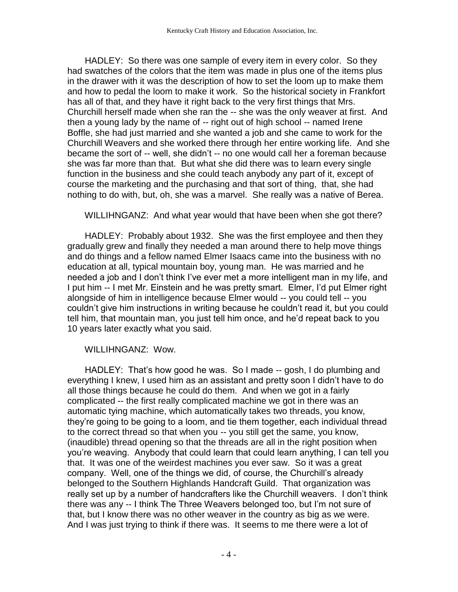HADLEY: So there was one sample of every item in every color. So they had swatches of the colors that the item was made in plus one of the items plus in the drawer with it was the description of how to set the loom up to make them and how to pedal the loom to make it work. So the historical society in Frankfort has all of that, and they have it right back to the very first things that Mrs. Churchill herself made when she ran the -- she was the only weaver at first. And then a young lady by the name of -- right out of high school -- named Irene Boffle, she had just married and she wanted a job and she came to work for the Churchill Weavers and she worked there through her entire working life. And she became the sort of -- well, she didn't -- no one would call her a foreman because she was far more than that. But what she did there was to learn every single function in the business and she could teach anybody any part of it, except of course the marketing and the purchasing and that sort of thing, that, she had nothing to do with, but, oh, she was a marvel. She really was a native of Berea.

WILLIHNGANZ: And what year would that have been when she got there?

 HADLEY: Probably about 1932. She was the first employee and then they gradually grew and finally they needed a man around there to help move things and do things and a fellow named Elmer Isaacs came into the business with no education at all, typical mountain boy, young man. He was married and he needed a job and I don't think I've ever met a more intelligent man in my life, and I put him -- I met Mr. Einstein and he was pretty smart. Elmer, I'd put Elmer right alongside of him in intelligence because Elmer would -- you could tell -- you couldn't give him instructions in writing because he couldn't read it, but you could tell him, that mountain man, you just tell him once, and he'd repeat back to you 10 years later exactly what you said.

# WILLIHNGANZ: Wow.

 HADLEY: That's how good he was. So I made -- gosh, I do plumbing and everything I knew, I used him as an assistant and pretty soon I didn't have to do all those things because he could do them. And when we got in a fairly complicated -- the first really complicated machine we got in there was an automatic tying machine, which automatically takes two threads, you know, they're going to be going to a loom, and tie them together, each individual thread to the correct thread so that when you -- you still get the same, you know, (inaudible) thread opening so that the threads are all in the right position when you're weaving. Anybody that could learn that could learn anything, I can tell you that. It was one of the weirdest machines you ever saw. So it was a great company. Well, one of the things we did, of course, the Churchill's already belonged to the Southern Highlands Handcraft Guild. That organization was really set up by a number of handcrafters like the Churchill weavers. I don't think there was any -- I think The Three Weavers belonged too, but I'm not sure of that, but I know there was no other weaver in the country as big as we were. And I was just trying to think if there was. It seems to me there were a lot of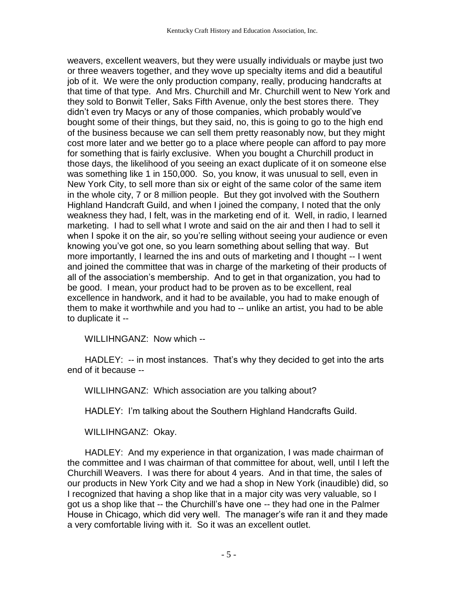weavers, excellent weavers, but they were usually individuals or maybe just two or three weavers together, and they wove up specialty items and did a beautiful job of it. We were the only production company, really, producing handcrafts at that time of that type. And Mrs. Churchill and Mr. Churchill went to New York and they sold to Bonwit Teller, Saks Fifth Avenue, only the best stores there. They didn't even try Macys or any of those companies, which probably would've bought some of their things, but they said, no, this is going to go to the high end of the business because we can sell them pretty reasonably now, but they might cost more later and we better go to a place where people can afford to pay more for something that is fairly exclusive. When you bought a Churchill product in those days, the likelihood of you seeing an exact duplicate of it on someone else was something like 1 in 150,000. So, you know, it was unusual to sell, even in New York City, to sell more than six or eight of the same color of the same item in the whole city, 7 or 8 million people. But they got involved with the Southern Highland Handcraft Guild, and when I joined the company, I noted that the only weakness they had, I felt, was in the marketing end of it. Well, in radio, I learned marketing. I had to sell what I wrote and said on the air and then I had to sell it when I spoke it on the air, so you're selling without seeing your audience or even knowing you've got one, so you learn something about selling that way. But more importantly, I learned the ins and outs of marketing and I thought -- I went and joined the committee that was in charge of the marketing of their products of all of the association's membership. And to get in that organization, you had to be good. I mean, your product had to be proven as to be excellent, real excellence in handwork, and it had to be available, you had to make enough of them to make it worthwhile and you had to -- unlike an artist, you had to be able to duplicate it --

WILLIHNGANZ: Now which --

 HADLEY: -- in most instances. That's why they decided to get into the arts end of it because --

WILLIHNGANZ: Which association are you talking about?

HADLEY: I'm talking about the Southern Highland Handcrafts Guild.

WILLIHNGANZ: Okay.

 HADLEY: And my experience in that organization, I was made chairman of the committee and I was chairman of that committee for about, well, until I left the Churchill Weavers. I was there for about 4 years. And in that time, the sales of our products in New York City and we had a shop in New York (inaudible) did, so I recognized that having a shop like that in a major city was very valuable, so I got us a shop like that -- the Churchill's have one -- they had one in the Palmer House in Chicago, which did very well. The manager's wife ran it and they made a very comfortable living with it. So it was an excellent outlet.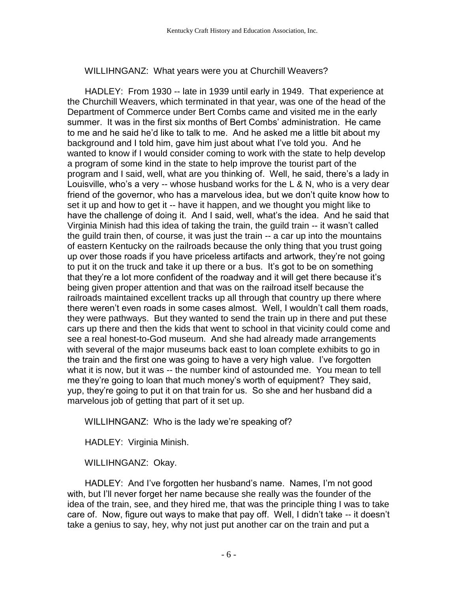WILLIHNGANZ: What years were you at Churchill Weavers?

 HADLEY: From 1930 -- late in 1939 until early in 1949. That experience at the Churchill Weavers, which terminated in that year, was one of the head of the Department of Commerce under Bert Combs came and visited me in the early summer. It was in the first six months of Bert Combs' administration. He came to me and he said he'd like to talk to me. And he asked me a little bit about my background and I told him, gave him just about what I've told you. And he wanted to know if I would consider coming to work with the state to help develop a program of some kind in the state to help improve the tourist part of the program and I said, well, what are you thinking of. Well, he said, there's a lady in Louisville, who's a very -- whose husband works for the L & N, who is a very dear friend of the governor, who has a marvelous idea, but we don't quite know how to set it up and how to get it -- have it happen, and we thought you might like to have the challenge of doing it. And I said, well, what's the idea. And he said that Virginia Minish had this idea of taking the train, the guild train -- it wasn't called the guild train then, of course, it was just the train -- a car up into the mountains of eastern Kentucky on the railroads because the only thing that you trust going up over those roads if you have priceless artifacts and artwork, they're not going to put it on the truck and take it up there or a bus. It's got to be on something that they're a lot more confident of the roadway and it will get there because it's being given proper attention and that was on the railroad itself because the railroads maintained excellent tracks up all through that country up there where there weren't even roads in some cases almost. Well, I wouldn't call them roads, they were pathways. But they wanted to send the train up in there and put these cars up there and then the kids that went to school in that vicinity could come and see a real honest-to-God museum. And she had already made arrangements with several of the major museums back east to loan complete exhibits to go in the train and the first one was going to have a very high value. I've forgotten what it is now, but it was -- the number kind of astounded me. You mean to tell me they're going to loan that much money's worth of equipment? They said, yup, they're going to put it on that train for us. So she and her husband did a marvelous job of getting that part of it set up.

WILLIHNGANZ: Who is the lady we're speaking of?

HADLEY: Virginia Minish.

WILLIHNGANZ: Okay.

 HADLEY: And I've forgotten her husband's name. Names, I'm not good with, but I'll never forget her name because she really was the founder of the idea of the train, see, and they hired me, that was the principle thing I was to take care of. Now, figure out ways to make that pay off. Well, I didn't take -- it doesn't take a genius to say, hey, why not just put another car on the train and put a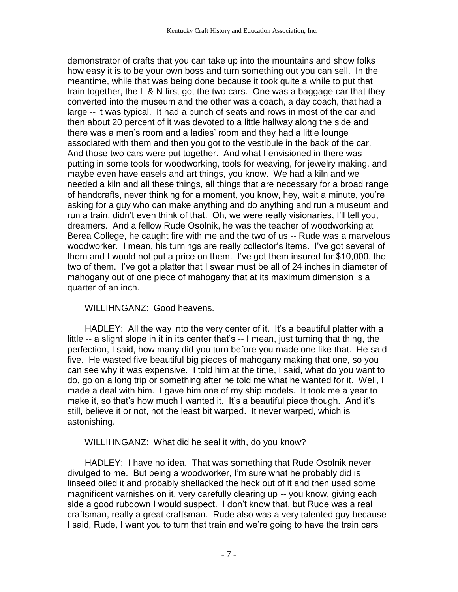demonstrator of crafts that you can take up into the mountains and show folks how easy it is to be your own boss and turn something out you can sell. In the meantime, while that was being done because it took quite a while to put that train together, the L & N first got the two cars. One was a baggage car that they converted into the museum and the other was a coach, a day coach, that had a large -- it was typical. It had a bunch of seats and rows in most of the car and then about 20 percent of it was devoted to a little hallway along the side and there was a men's room and a ladies' room and they had a little lounge associated with them and then you got to the vestibule in the back of the car. And those two cars were put together. And what I envisioned in there was putting in some tools for woodworking, tools for weaving, for jewelry making, and maybe even have easels and art things, you know. We had a kiln and we needed a kiln and all these things, all things that are necessary for a broad range of handcrafts, never thinking for a moment, you know, hey, wait a minute, you're asking for a guy who can make anything and do anything and run a museum and run a train, didn't even think of that. Oh, we were really visionaries, I'll tell you, dreamers. And a fellow Rude Osolnik, he was the teacher of woodworking at Berea College, he caught fire with me and the two of us -- Rude was a marvelous woodworker. I mean, his turnings are really collector's items. I've got several of them and I would not put a price on them. I've got them insured for \$10,000, the two of them. I've got a platter that I swear must be all of 24 inches in diameter of mahogany out of one piece of mahogany that at its maximum dimension is a quarter of an inch.

# WILLIHNGANZ: Good heavens.

HADLEY: All the way into the very center of it. It's a beautiful platter with a little -- a slight slope in it in its center that's -- I mean, just turning that thing, the perfection, I said, how many did you turn before you made one like that. He said five. He wasted five beautiful big pieces of mahogany making that one, so you can see why it was expensive. I told him at the time, I said, what do you want to do, go on a long trip or something after he told me what he wanted for it. Well, I made a deal with him. I gave him one of my ship models. It took me a year to make it, so that's how much I wanted it. It's a beautiful piece though. And it's still, believe it or not, not the least bit warped. It never warped, which is astonishing.

## WILLIHNGANZ: What did he seal it with, do you know?

 HADLEY: I have no idea. That was something that Rude Osolnik never divulged to me. But being a woodworker, I'm sure what he probably did is linseed oiled it and probably shellacked the heck out of it and then used some magnificent varnishes on it, very carefully clearing up -- you know, giving each side a good rubdown I would suspect. I don't know that, but Rude was a real craftsman, really a great craftsman. Rude also was a very talented guy because I said, Rude, I want you to turn that train and we're going to have the train cars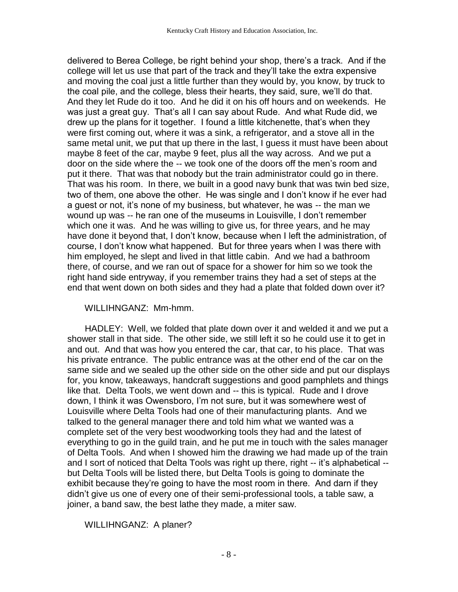delivered to Berea College, be right behind your shop, there's a track. And if the college will let us use that part of the track and they'll take the extra expensive and moving the coal just a little further than they would by, you know, by truck to the coal pile, and the college, bless their hearts, they said, sure, we'll do that. And they let Rude do it too. And he did it on his off hours and on weekends. He was just a great guy. That's all I can say about Rude. And what Rude did, we drew up the plans for it together. I found a little kitchenette, that's when they were first coming out, where it was a sink, a refrigerator, and a stove all in the same metal unit, we put that up there in the last, I guess it must have been about maybe 8 feet of the car, maybe 9 feet, plus all the way across. And we put a door on the side where the -- we took one of the doors off the men's room and put it there. That was that nobody but the train administrator could go in there. That was his room. In there, we built in a good navy bunk that was twin bed size, two of them, one above the other. He was single and I don't know if he ever had a guest or not, it's none of my business, but whatever, he was -- the man we wound up was -- he ran one of the museums in Louisville, I don't remember which one it was. And he was willing to give us, for three years, and he may have done it beyond that, I don't know, because when I left the administration, of course, I don't know what happened. But for three years when I was there with him employed, he slept and lived in that little cabin. And we had a bathroom there, of course, and we ran out of space for a shower for him so we took the right hand side entryway, if you remember trains they had a set of steps at the end that went down on both sides and they had a plate that folded down over it?

## WILLIHNGANZ: Mm-hmm.

 HADLEY: Well, we folded that plate down over it and welded it and we put a shower stall in that side. The other side, we still left it so he could use it to get in and out. And that was how you entered the car, that car, to his place. That was his private entrance. The public entrance was at the other end of the car on the same side and we sealed up the other side on the other side and put our displays for, you know, takeaways, handcraft suggestions and good pamphlets and things like that. Delta Tools, we went down and -- this is typical. Rude and I drove down, I think it was Owensboro, I'm not sure, but it was somewhere west of Louisville where Delta Tools had one of their manufacturing plants. And we talked to the general manager there and told him what we wanted was a complete set of the very best woodworking tools they had and the latest of everything to go in the guild train, and he put me in touch with the sales manager of Delta Tools. And when I showed him the drawing we had made up of the train and I sort of noticed that Delta Tools was right up there, right -- it's alphabetical - but Delta Tools will be listed there, but Delta Tools is going to dominate the exhibit because they're going to have the most room in there. And darn if they didn't give us one of every one of their semi-professional tools, a table saw, a joiner, a band saw, the best lathe they made, a miter saw.

## WILLIHNGANZ: A planer?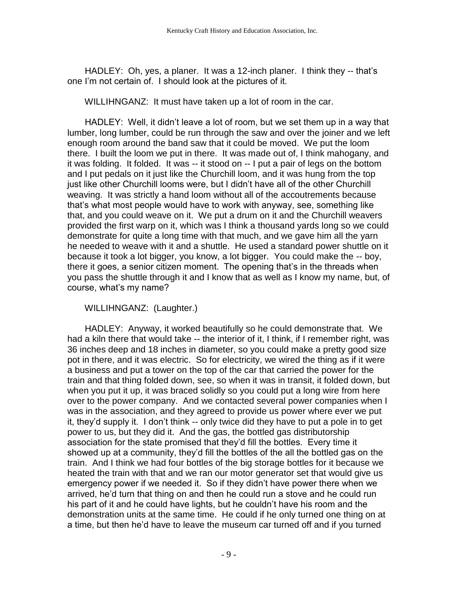HADLEY: Oh, yes, a planer. It was a 12-inch planer. I think they -- that's one I'm not certain of. I should look at the pictures of it.

WILLIHNGANZ: It must have taken up a lot of room in the car.

 HADLEY: Well, it didn't leave a lot of room, but we set them up in a way that lumber, long lumber, could be run through the saw and over the joiner and we left enough room around the band saw that it could be moved. We put the loom there. I built the loom we put in there. It was made out of, I think mahogany, and it was folding. It folded. It was -- it stood on -- I put a pair of legs on the bottom and I put pedals on it just like the Churchill loom, and it was hung from the top just like other Churchill looms were, but I didn't have all of the other Churchill weaving. It was strictly a hand loom without all of the accoutrements because that's what most people would have to work with anyway, see, something like that, and you could weave on it. We put a drum on it and the Churchill weavers provided the first warp on it, which was I think a thousand yards long so we could demonstrate for quite a long time with that much, and we gave him all the yarn he needed to weave with it and a shuttle. He used a standard power shuttle on it because it took a lot bigger, you know, a lot bigger. You could make the -- boy, there it goes, a senior citizen moment. The opening that's in the threads when you pass the shuttle through it and I know that as well as I know my name, but, of course, what's my name?

WILLIHNGANZ: (Laughter.)

 HADLEY: Anyway, it worked beautifully so he could demonstrate that. We had a kiln there that would take -- the interior of it, I think, if I remember right, was 36 inches deep and 18 inches in diameter, so you could make a pretty good size pot in there, and it was electric. So for electricity, we wired the thing as if it were a business and put a tower on the top of the car that carried the power for the train and that thing folded down, see, so when it was in transit, it folded down, but when you put it up, it was braced solidly so you could put a long wire from here over to the power company. And we contacted several power companies when I was in the association, and they agreed to provide us power where ever we put it, they'd supply it. I don't think -- only twice did they have to put a pole in to get power to us, but they did it. And the gas, the bottled gas distributorship association for the state promised that they'd fill the bottles. Every time it showed up at a community, they'd fill the bottles of the all the bottled gas on the train. And I think we had four bottles of the big storage bottles for it because we heated the train with that and we ran our motor generator set that would give us emergency power if we needed it. So if they didn't have power there when we arrived, he'd turn that thing on and then he could run a stove and he could run his part of it and he could have lights, but he couldn't have his room and the demonstration units at the same time. He could if he only turned one thing on at a time, but then he'd have to leave the museum car turned off and if you turned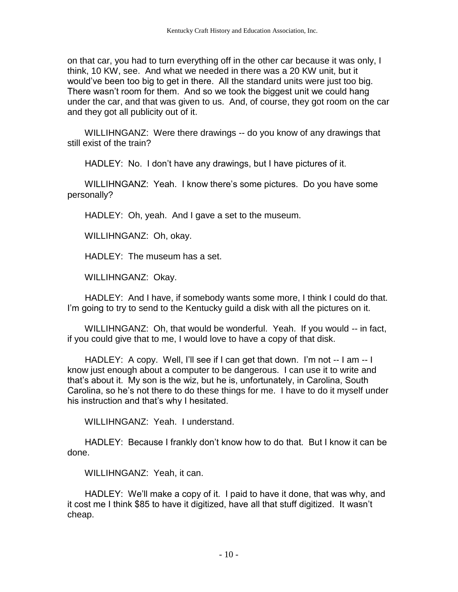on that car, you had to turn everything off in the other car because it was only, I think, 10 KW, see. And what we needed in there was a 20 KW unit, but it would've been too big to get in there. All the standard units were just too big. There wasn't room for them. And so we took the biggest unit we could hang under the car, and that was given to us. And, of course, they got room on the car and they got all publicity out of it.

 WILLIHNGANZ: Were there drawings -- do you know of any drawings that still exist of the train?

HADLEY: No. I don't have any drawings, but I have pictures of it.

 WILLIHNGANZ: Yeah. I know there's some pictures. Do you have some personally?

HADLEY: Oh, yeah. And I gave a set to the museum.

WILLIHNGANZ: Oh, okay.

HADLEY: The museum has a set.

WILLIHNGANZ: Okay.

 HADLEY: And I have, if somebody wants some more, I think I could do that. I'm going to try to send to the Kentucky guild a disk with all the pictures on it.

 WILLIHNGANZ: Oh, that would be wonderful. Yeah. If you would -- in fact, if you could give that to me, I would love to have a copy of that disk.

HADLEY: A copy. Well, I'll see if I can get that down. I'm not -- I am -- I know just enough about a computer to be dangerous. I can use it to write and that's about it. My son is the wiz, but he is, unfortunately, in Carolina, South Carolina, so he's not there to do these things for me. I have to do it myself under his instruction and that's why I hesitated.

WILLIHNGANZ: Yeah. I understand.

 HADLEY: Because I frankly don't know how to do that. But I know it can be done.

WILLIHNGANZ: Yeah, it can.

 HADLEY: We'll make a copy of it. I paid to have it done, that was why, and it cost me I think \$85 to have it digitized, have all that stuff digitized. It wasn't cheap.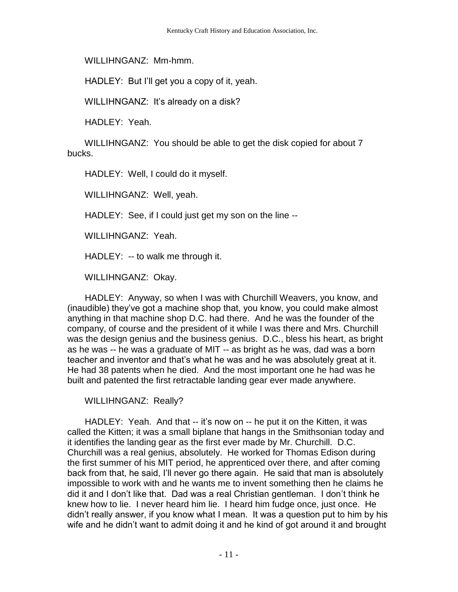WILLIHNGANZ: Mm-hmm.

HADLEY: But I'll get you a copy of it, yeah.

WILLIHNGANZ: It's already on a disk?

HADLEY: Yeah.

 WILLIHNGANZ: You should be able to get the disk copied for about 7 bucks.

HADLEY: Well, I could do it myself.

WILLIHNGANZ: Well, yeah.

HADLEY: See, if I could just get my son on the line --

WILLIHNGANZ: Yeah.

HADLEY: -- to walk me through it.

WILLIHNGANZ: Okay.

 HADLEY: Anyway, so when I was with Churchill Weavers, you know, and (inaudible) they've got a machine shop that, you know, you could make almost anything in that machine shop D.C. had there. And he was the founder of the company, of course and the president of it while I was there and Mrs. Churchill was the design genius and the business genius. D.C., bless his heart, as bright as he was -- he was a graduate of MIT -- as bright as he was, dad was a born teacher and inventor and that's what he was and he was absolutely great at it. He had 38 patents when he died. And the most important one he had was he built and patented the first retractable landing gear ever made anywhere.

WILLIHNGANZ: Really?

 HADLEY: Yeah. And that -- it's now on -- he put it on the Kitten, it was called the Kitten; it was a small biplane that hangs in the Smithsonian today and it identifies the landing gear as the first ever made by Mr. Churchill. D.C. Churchill was a real genius, absolutely. He worked for Thomas Edison during the first summer of his MIT period, he apprenticed over there, and after coming back from that, he said, I'll never go there again. He said that man is absolutely impossible to work with and he wants me to invent something then he claims he did it and I don't like that. Dad was a real Christian gentleman. I don't think he knew how to lie. I never heard him lie. I heard him fudge once, just once. He didn't really answer, if you know what I mean. It was a question put to him by his wife and he didn't want to admit doing it and he kind of got around it and brought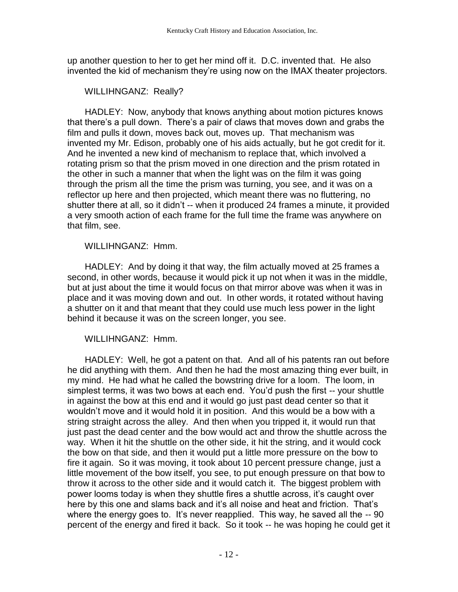up another question to her to get her mind off it. D.C. invented that. He also invented the kid of mechanism they're using now on the IMAX theater projectors.

# WILLIHNGANZ: Really?

 HADLEY: Now, anybody that knows anything about motion pictures knows that there's a pull down. There's a pair of claws that moves down and grabs the film and pulls it down, moves back out, moves up. That mechanism was invented my Mr. Edison, probably one of his aids actually, but he got credit for it. And he invented a new kind of mechanism to replace that, which involved a rotating prism so that the prism moved in one direction and the prism rotated in the other in such a manner that when the light was on the film it was going through the prism all the time the prism was turning, you see, and it was on a reflector up here and then projected, which meant there was no fluttering, no shutter there at all, so it didn't -- when it produced 24 frames a minute, it provided a very smooth action of each frame for the full time the frame was anywhere on that film, see.

## WILLIHNGANZ: Hmm.

 HADLEY: And by doing it that way, the film actually moved at 25 frames a second, in other words, because it would pick it up not when it was in the middle, but at just about the time it would focus on that mirror above was when it was in place and it was moving down and out. In other words, it rotated without having a shutter on it and that meant that they could use much less power in the light behind it because it was on the screen longer, you see.

WILLIHNGANZ: Hmm.

 HADLEY: Well, he got a patent on that. And all of his patents ran out before he did anything with them. And then he had the most amazing thing ever built, in my mind. He had what he called the bowstring drive for a loom. The loom, in simplest terms, it was two bows at each end. You'd push the first -- your shuttle in against the bow at this end and it would go just past dead center so that it wouldn't move and it would hold it in position. And this would be a bow with a string straight across the alley. And then when you tripped it, it would run that just past the dead center and the bow would act and throw the shuttle across the way. When it hit the shuttle on the other side, it hit the string, and it would cock the bow on that side, and then it would put a little more pressure on the bow to fire it again. So it was moving, it took about 10 percent pressure change, just a little movement of the bow itself, you see, to put enough pressure on that bow to throw it across to the other side and it would catch it. The biggest problem with power looms today is when they shuttle fires a shuttle across, it's caught over here by this one and slams back and it's all noise and heat and friction. That's where the energy goes to. It's never reapplied. This way, he saved all the -- 90 percent of the energy and fired it back. So it took -- he was hoping he could get it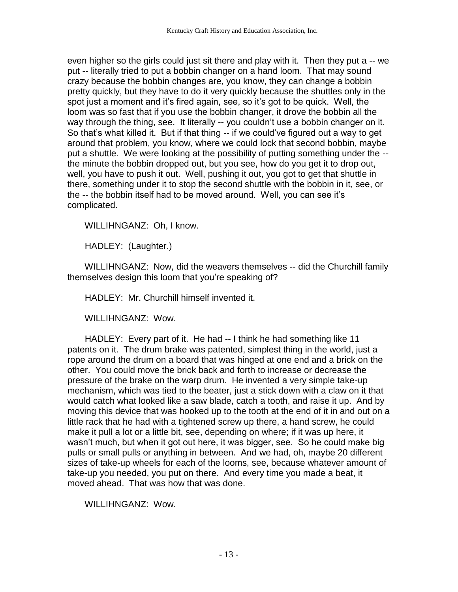even higher so the girls could just sit there and play with it. Then they put a -- we put -- literally tried to put a bobbin changer on a hand loom. That may sound crazy because the bobbin changes are, you know, they can change a bobbin pretty quickly, but they have to do it very quickly because the shuttles only in the spot just a moment and it's fired again, see, so it's got to be quick. Well, the loom was so fast that if you use the bobbin changer, it drove the bobbin all the way through the thing, see. It literally -- you couldn't use a bobbin changer on it. So that's what killed it. But if that thing -- if we could've figured out a way to get around that problem, you know, where we could lock that second bobbin, maybe put a shuttle. We were looking at the possibility of putting something under the - the minute the bobbin dropped out, but you see, how do you get it to drop out, well, you have to push it out. Well, pushing it out, you got to get that shuttle in there, something under it to stop the second shuttle with the bobbin in it, see, or the -- the bobbin itself had to be moved around. Well, you can see it's complicated.

WILLIHNGANZ: Oh, I know.

HADLEY: (Laughter.)

 WILLIHNGANZ: Now, did the weavers themselves -- did the Churchill family themselves design this loom that you're speaking of?

HADLEY: Mr. Churchill himself invented it.

WILLIHNGANZ: Wow.

HADLEY: Every part of it. He had -- I think he had something like 11 patents on it. The drum brake was patented, simplest thing in the world, just a rope around the drum on a board that was hinged at one end and a brick on the other. You could move the brick back and forth to increase or decrease the pressure of the brake on the warp drum. He invented a very simple take-up mechanism, which was tied to the beater, just a stick down with a claw on it that would catch what looked like a saw blade, catch a tooth, and raise it up. And by moving this device that was hooked up to the tooth at the end of it in and out on a little rack that he had with a tightened screw up there, a hand screw, he could make it pull a lot or a little bit, see, depending on where; if it was up here, it wasn't much, but when it got out here, it was bigger, see. So he could make big pulls or small pulls or anything in between. And we had, oh, maybe 20 different sizes of take-up wheels for each of the looms, see, because whatever amount of take-up you needed, you put on there. And every time you made a beat, it moved ahead. That was how that was done.

WILLIHNGANZ: Wow.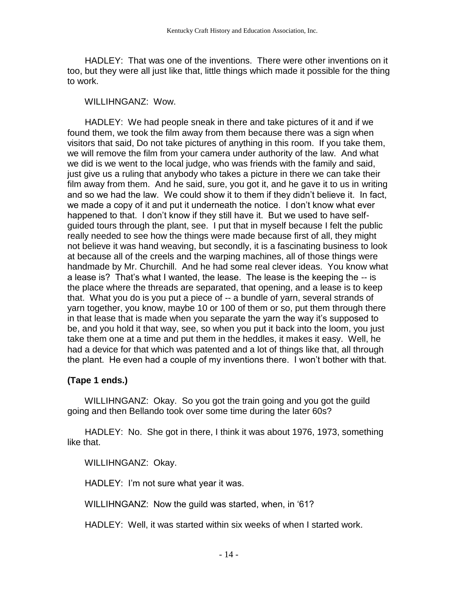HADLEY: That was one of the inventions. There were other inventions on it too, but they were all just like that, little things which made it possible for the thing to work.

#### WILLIHNGANZ: Wow.

 HADLEY: We had people sneak in there and take pictures of it and if we found them, we took the film away from them because there was a sign when visitors that said, Do not take pictures of anything in this room. If you take them, we will remove the film from your camera under authority of the law. And what we did is we went to the local judge, who was friends with the family and said, just give us a ruling that anybody who takes a picture in there we can take their film away from them. And he said, sure, you got it, and he gave it to us in writing and so we had the law. We could show it to them if they didn't believe it. In fact, we made a copy of it and put it underneath the notice. I don't know what ever happened to that. I don't know if they still have it. But we used to have selfguided tours through the plant, see. I put that in myself because I felt the public really needed to see how the things were made because first of all, they might not believe it was hand weaving, but secondly, it is a fascinating business to look at because all of the creels and the warping machines, all of those things were handmade by Mr. Churchill. And he had some real clever ideas. You know what a lease is? That's what I wanted, the lease. The lease is the keeping the -- is the place where the threads are separated, that opening, and a lease is to keep that. What you do is you put a piece of -- a bundle of yarn, several strands of yarn together, you know, maybe 10 or 100 of them or so, put them through there in that lease that is made when you separate the yarn the way it's supposed to be, and you hold it that way, see, so when you put it back into the loom, you just take them one at a time and put them in the heddles, it makes it easy. Well, he had a device for that which was patented and a lot of things like that, all through the plant. He even had a couple of my inventions there. I won't bother with that.

# **(Tape 1 ends.)**

WILLIHNGANZ: Okay. So you got the train going and you got the guild going and then Bellando took over some time during the later 60s?

 HADLEY: No. She got in there, I think it was about 1976, 1973, something like that.

## WILLIHNGANZ: Okay.

HADLEY: I'm not sure what year it was.

WILLIHNGANZ: Now the guild was started, when, in '61?

HADLEY: Well, it was started within six weeks of when I started work.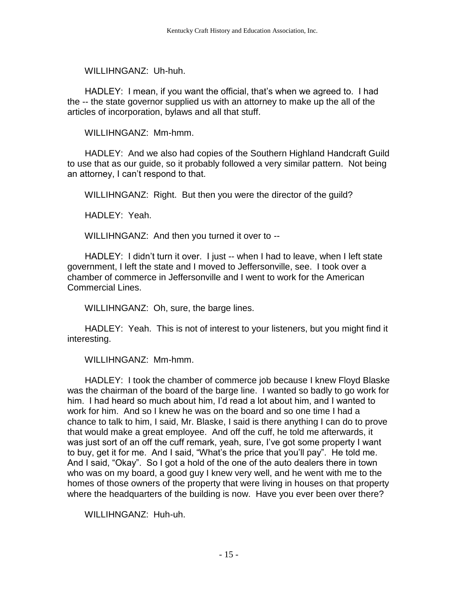WILLIHNGANZ: Uh-huh.

 HADLEY: I mean, if you want the official, that's when we agreed to. I had the -- the state governor supplied us with an attorney to make up the all of the articles of incorporation, bylaws and all that stuff.

WILLIHNGANZ: Mm-hmm.

 HADLEY: And we also had copies of the Southern Highland Handcraft Guild to use that as our guide, so it probably followed a very similar pattern. Not being an attorney, I can't respond to that.

WILLIHNGANZ: Right. But then you were the director of the guild?

HADLEY: Yeah.

WILLIHNGANZ: And then you turned it over to --

 HADLEY: I didn't turn it over. I just -- when I had to leave, when I left state government, I left the state and I moved to Jeffersonville, see. I took over a chamber of commerce in Jeffersonville and I went to work for the American Commercial Lines.

WILLIHNGANZ: Oh, sure, the barge lines.

 HADLEY: Yeah. This is not of interest to your listeners, but you might find it interesting.

WILLIHNGANZ: Mm-hmm.

 HADLEY: I took the chamber of commerce job because I knew Floyd Blaske was the chairman of the board of the barge line. I wanted so badly to go work for him. I had heard so much about him, I'd read a lot about him, and I wanted to work for him. And so I knew he was on the board and so one time I had a chance to talk to him, I said, Mr. Blaske, I said is there anything I can do to prove that would make a great employee. And off the cuff, he told me afterwards, it was just sort of an off the cuff remark, yeah, sure, I've got some property I want to buy, get it for me. And I said, "What's the price that you'll pay". He told me. And I said, "Okay". So I got a hold of the one of the auto dealers there in town who was on my board, a good guy I knew very well, and he went with me to the homes of those owners of the property that were living in houses on that property where the headquarters of the building is now. Have you ever been over there?

WILLIHNGANZ: Huh-uh.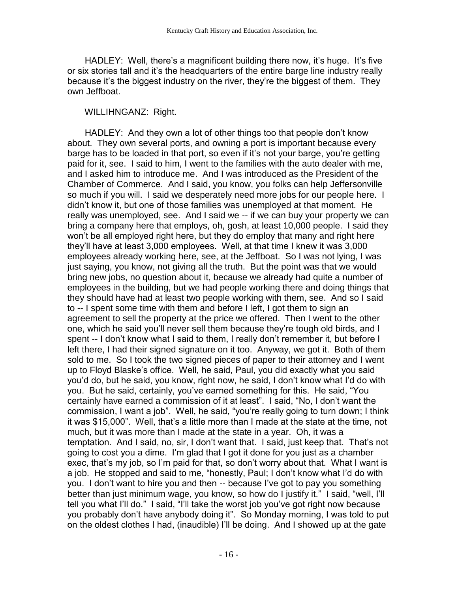HADLEY: Well, there's a magnificent building there now, it's huge. It's five or six stories tall and it's the headquarters of the entire barge line industry really because it's the biggest industry on the river, they're the biggest of them. They own Jeffboat.

## WILLIHNGANZ: Right.

 HADLEY: And they own a lot of other things too that people don't know about. They own several ports, and owning a port is important because every barge has to be loaded in that port, so even if it's not your barge, you're getting paid for it, see. I said to him, I went to the families with the auto dealer with me, and I asked him to introduce me. And I was introduced as the President of the Chamber of Commerce. And I said, you know, you folks can help Jeffersonville so much if you will. I said we desperately need more jobs for our people here. I didn't know it, but one of those families was unemployed at that moment. He really was unemployed, see. And I said we -- if we can buy your property we can bring a company here that employs, oh, gosh, at least 10,000 people. I said they won't be all employed right here, but they do employ that many and right here they'll have at least 3,000 employees. Well, at that time I knew it was 3,000 employees already working here, see, at the Jeffboat. So I was not lying, I was just saying, you know, not giving all the truth. But the point was that we would bring new jobs, no question about it, because we already had quite a number of employees in the building, but we had people working there and doing things that they should have had at least two people working with them, see. And so I said to -- I spent some time with them and before I left, I got them to sign an agreement to sell the property at the price we offered. Then I went to the other one, which he said you'll never sell them because they're tough old birds, and I spent -- I don't know what I said to them, I really don't remember it, but before I left there, I had their signed signature on it too. Anyway, we got it. Both of them sold to me. So I took the two signed pieces of paper to their attorney and I went up to Floyd Blaske's office. Well, he said, Paul, you did exactly what you said you'd do, but he said, you know, right now, he said, I don't know what I'd do with you. But he said, certainly, you've earned something for this. He said, "You certainly have earned a commission of it at least". I said, "No, I don't want the commission, I want a job". Well, he said, "you're really going to turn down; I think it was \$15,000". Well, that's a little more than I made at the state at the time, not much, but it was more than I made at the state in a year. Oh, it was a temptation. And I said, no, sir, I don't want that. I said, just keep that. That's not going to cost you a dime. I'm glad that I got it done for you just as a chamber exec, that's my job, so I'm paid for that, so don't worry about that. What I want is a job. He stopped and said to me, "honestly, Paul; I don't know what I'd do with you. I don't want to hire you and then -- because I've got to pay you something better than just minimum wage, you know, so how do I justify it." I said, "well, I'll tell you what I'll do." I said, "I'll take the worst job you've got right now because you probably don't have anybody doing it". So Monday morning, I was told to put on the oldest clothes I had, (inaudible) I'll be doing. And I showed up at the gate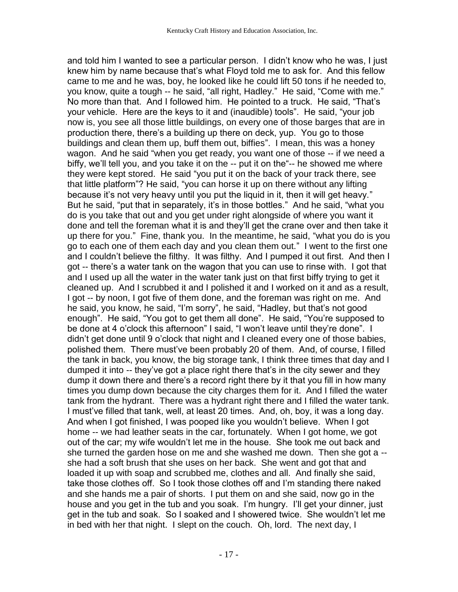and told him I wanted to see a particular person. I didn't know who he was, I just knew him by name because that's what Floyd told me to ask for. And this fellow came to me and he was, boy, he looked like he could lift 50 tons if he needed to, you know, quite a tough -- he said, "all right, Hadley." He said, "Come with me." No more than that. And I followed him. He pointed to a truck. He said, "That's your vehicle. Here are the keys to it and (inaudible) tools". He said, "your job now is, you see all those little buildings, on every one of those barges that are in production there, there's a building up there on deck, yup. You go to those buildings and clean them up, buff them out, biffies". I mean, this was a honey wagon. And he said "when you get ready, you want one of those -- if we need a biffy, we'll tell you, and you take it on the -- put it on the"-- he showed me where they were kept stored. He said "you put it on the back of your track there, see that little platform"? He said, "you can horse it up on there without any lifting because it's not very heavy until you put the liquid in it, then it will get heavy." But he said, "put that in separately, it's in those bottles." And he said, "what you do is you take that out and you get under right alongside of where you want it done and tell the foreman what it is and they'll get the crane over and then take it up there for you." Fine, thank you. In the meantime, he said, "what you do is you go to each one of them each day and you clean them out." I went to the first one and I couldn't believe the filthy. It was filthy. And I pumped it out first. And then I got -- there's a water tank on the wagon that you can use to rinse with. I got that and I used up all the water in the water tank just on that first biffy trying to get it cleaned up. And I scrubbed it and I polished it and I worked on it and as a result, I got -- by noon, I got five of them done, and the foreman was right on me. And he said, you know, he said, "I'm sorry", he said, "Hadley, but that's not good enough". He said, "You got to get them all done". He said, "You're supposed to be done at 4 o'clock this afternoon" I said, "I won't leave until they're done". I didn't get done until 9 o'clock that night and I cleaned every one of those babies, polished them. There must've been probably 20 of them. And, of course, I filled the tank in back, you know, the big storage tank, I think three times that day and I dumped it into -- they've got a place right there that's in the city sewer and they dump it down there and there's a record right there by it that you fill in how many times you dump down because the city charges them for it. And I filled the water tank from the hydrant. There was a hydrant right there and I filled the water tank. I must've filled that tank, well, at least 20 times. And, oh, boy, it was a long day. And when I got finished, I was pooped like you wouldn't believe. When I got home -- we had leather seats in the car, fortunately. When I got home, we got out of the car; my wife wouldn't let me in the house. She took me out back and she turned the garden hose on me and she washed me down. Then she got a - she had a soft brush that she uses on her back. She went and got that and loaded it up with soap and scrubbed me, clothes and all. And finally she said, take those clothes off. So I took those clothes off and I'm standing there naked and she hands me a pair of shorts. I put them on and she said, now go in the house and you get in the tub and you soak. I'm hungry. I'll get your dinner, just get in the tub and soak. So I soaked and I showered twice. She wouldn't let me in bed with her that night. I slept on the couch. Oh, lord. The next day, I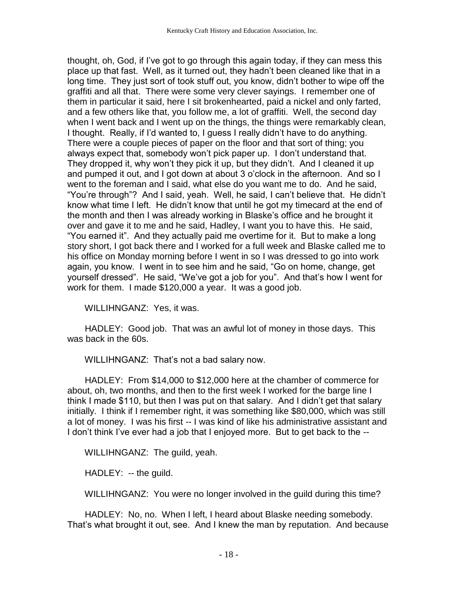thought, oh, God, if I've got to go through this again today, if they can mess this place up that fast. Well, as it turned out, they hadn't been cleaned like that in a long time. They just sort of took stuff out, you know, didn't bother to wipe off the graffiti and all that. There were some very clever sayings. I remember one of them in particular it said, here I sit brokenhearted, paid a nickel and only farted, and a few others like that, you follow me, a lot of graffiti. Well, the second day when I went back and I went up on the things, the things were remarkably clean, I thought. Really, if I'd wanted to, I guess I really didn't have to do anything. There were a couple pieces of paper on the floor and that sort of thing; you always expect that, somebody won't pick paper up. I don't understand that. They dropped it, why won't they pick it up, but they didn't. And I cleaned it up and pumped it out, and I got down at about 3 o'clock in the afternoon. And so I went to the foreman and I said, what else do you want me to do. And he said, "You're through"? And I said, yeah. Well, he said, I can't believe that. He didn't know what time I left. He didn't know that until he got my timecard at the end of the month and then I was already working in Blaske's office and he brought it over and gave it to me and he said, Hadley, I want you to have this. He said, "You earned it". And they actually paid me overtime for it. But to make a long story short, I got back there and I worked for a full week and Blaske called me to his office on Monday morning before I went in so I was dressed to go into work again, you know. I went in to see him and he said, "Go on home, change, get yourself dressed". He said, "We've got a job for you". And that's how I went for work for them. I made \$120,000 a year. It was a good job.

WILLIHNGANZ: Yes, it was.

 HADLEY: Good job. That was an awful lot of money in those days. This was back in the 60s.

WILLIHNGANZ: That's not a bad salary now.

 HADLEY: From \$14,000 to \$12,000 here at the chamber of commerce for about, oh, two months, and then to the first week I worked for the barge line I think I made \$110, but then I was put on that salary. And I didn't get that salary initially. I think if I remember right, it was something like \$80,000, which was still a lot of money. I was his first -- I was kind of like his administrative assistant and I don't think I've ever had a job that I enjoyed more. But to get back to the --

WILLIHNGANZ: The guild, yeah.

HADLEY: -- the guild.

WILLIHNGANZ: You were no longer involved in the guild during this time?

 HADLEY: No, no. When I left, I heard about Blaske needing somebody. That's what brought it out, see. And I knew the man by reputation. And because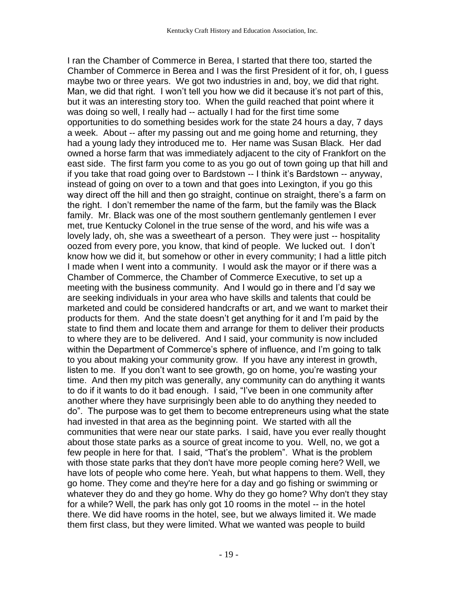I ran the Chamber of Commerce in Berea, I started that there too, started the Chamber of Commerce in Berea and I was the first President of it for, oh, I guess maybe two or three years. We got two industries in and, boy, we did that right. Man, we did that right. I won't tell you how we did it because it's not part of this, but it was an interesting story too. When the guild reached that point where it was doing so well, I really had -- actually I had for the first time some opportunities to do something besides work for the state 24 hours a day, 7 days a week. About -- after my passing out and me going home and returning, they had a young lady they introduced me to. Her name was Susan Black. Her dad owned a horse farm that was immediately adjacent to the city of Frankfort on the east side. The first farm you come to as you go out of town going up that hill and if you take that road going over to Bardstown -- I think it's Bardstown -- anyway, instead of going on over to a town and that goes into Lexington, if you go this way direct off the hill and then go straight, continue on straight, there's a farm on the right. I don't remember the name of the farm, but the family was the Black family. Mr. Black was one of the most southern gentlemanly gentlemen I ever met, true Kentucky Colonel in the true sense of the word, and his wife was a lovely lady, oh, she was a sweetheart of a person. They were just -- hospitality oozed from every pore, you know, that kind of people. We lucked out. I don't know how we did it, but somehow or other in every community; I had a little pitch I made when I went into a community. I would ask the mayor or if there was a Chamber of Commerce, the Chamber of Commerce Executive, to set up a meeting with the business community. And I would go in there and I'd say we are seeking individuals in your area who have skills and talents that could be marketed and could be considered handcrafts or art, and we want to market their products for them. And the state doesn't get anything for it and I'm paid by the state to find them and locate them and arrange for them to deliver their products to where they are to be delivered. And I said, your community is now included within the Department of Commerce's sphere of influence, and I'm going to talk to you about making your community grow. If you have any interest in growth, listen to me. If you don't want to see growth, go on home, you're wasting your time. And then my pitch was generally, any community can do anything it wants to do if it wants to do it bad enough. I said, "I've been in one community after another where they have surprisingly been able to do anything they needed to do". The purpose was to get them to become entrepreneurs using what the state had invested in that area as the beginning point. We started with all the communities that were near our state parks. I said, have you ever really thought about those state parks as a source of great income to you. Well, no, we got a few people in here for that. I said, "That's the problem". What is the problem with those state parks that they don't have more people coming here? Well, we have lots of people who come here. Yeah, but what happens to them. Well, they go home. They come and they're here for a day and go fishing or swimming or whatever they do and they go home. Why do they go home? Why don't they stay for a while? Well, the park has only got 10 rooms in the motel -- in the hotel there. We did have rooms in the hotel, see, but we always limited it. We made them first class, but they were limited. What we wanted was people to build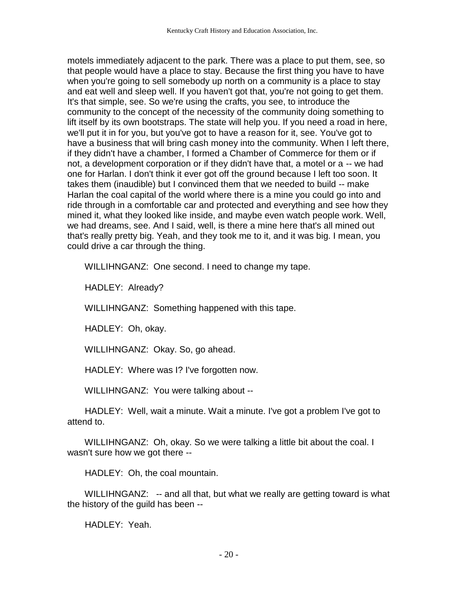motels immediately adjacent to the park. There was a place to put them, see, so that people would have a place to stay. Because the first thing you have to have when you're going to sell somebody up north on a community is a place to stay and eat well and sleep well. If you haven't got that, you're not going to get them. It's that simple, see. So we're using the crafts, you see, to introduce the community to the concept of the necessity of the community doing something to lift itself by its own bootstraps. The state will help you. If you need a road in here, we'll put it in for you, but you've got to have a reason for it, see. You've got to have a business that will bring cash money into the community. When I left there, if they didn't have a chamber, I formed a Chamber of Commerce for them or if not, a development corporation or if they didn't have that, a motel or a -- we had one for Harlan. I don't think it ever got off the ground because I left too soon. It takes them (inaudible) but I convinced them that we needed to build -- make Harlan the coal capital of the world where there is a mine you could go into and ride through in a comfortable car and protected and everything and see how they mined it, what they looked like inside, and maybe even watch people work. Well, we had dreams, see. And I said, well, is there a mine here that's all mined out that's really pretty big. Yeah, and they took me to it, and it was big. I mean, you could drive a car through the thing.

WILLIHNGANZ: One second. I need to change my tape.

HADLEY: Already?

WILLIHNGANZ: Something happened with this tape.

HADLEY: Oh, okay.

WILLIHNGANZ: Okay. So, go ahead.

HADLEY: Where was I? I've forgotten now.

WILLIHNGANZ: You were talking about --

 HADLEY: Well, wait a minute. Wait a minute. I've got a problem I've got to attend to.

 WILLIHNGANZ: Oh, okay. So we were talking a little bit about the coal. I wasn't sure how we got there --

HADLEY: Oh, the coal mountain.

WILLIHNGANZ: -- and all that, but what we really are getting toward is what the history of the guild has been --

HADLEY: Yeah.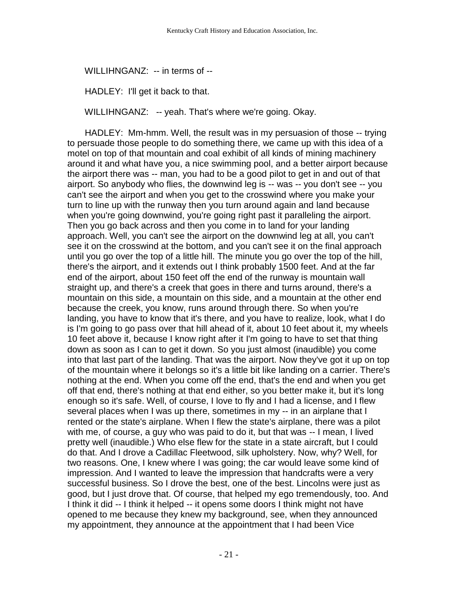WILLIHNGANZ: -- in terms of --

HADLEY: I'll get it back to that.

WILLIHNGANZ: -- yeah. That's where we're going. Okay.

 HADLEY: Mm-hmm. Well, the result was in my persuasion of those -- trying to persuade those people to do something there, we came up with this idea of a motel on top of that mountain and coal exhibit of all kinds of mining machinery around it and what have you, a nice swimming pool, and a better airport because the airport there was -- man, you had to be a good pilot to get in and out of that airport. So anybody who flies, the downwind leg is -- was -- you don't see -- you can't see the airport and when you get to the crosswind where you make your turn to line up with the runway then you turn around again and land because when you're going downwind, you're going right past it paralleling the airport. Then you go back across and then you come in to land for your landing approach. Well, you can't see the airport on the downwind leg at all, you can't see it on the crosswind at the bottom, and you can't see it on the final approach until you go over the top of a little hill. The minute you go over the top of the hill, there's the airport, and it extends out I think probably 1500 feet. And at the far end of the airport, about 150 feet off the end of the runway is mountain wall straight up, and there's a creek that goes in there and turns around, there's a mountain on this side, a mountain on this side, and a mountain at the other end because the creek, you know, runs around through there. So when you're landing, you have to know that it's there, and you have to realize, look, what I do is I'm going to go pass over that hill ahead of it, about 10 feet about it, my wheels 10 feet above it, because I know right after it I'm going to have to set that thing down as soon as I can to get it down. So you just almost (inaudible) you come into that last part of the landing. That was the airport. Now they've got it up on top of the mountain where it belongs so it's a little bit like landing on a carrier. There's nothing at the end. When you come off the end, that's the end and when you get off that end, there's nothing at that end either, so you better make it, but it's long enough so it's safe. Well, of course, I love to fly and I had a license, and I flew several places when I was up there, sometimes in my -- in an airplane that I rented or the state's airplane. When I flew the state's airplane, there was a pilot with me, of course, a guy who was paid to do it, but that was -- I mean, I lived pretty well (inaudible.) Who else flew for the state in a state aircraft, but I could do that. And I drove a Cadillac Fleetwood, silk upholstery. Now, why? Well, for two reasons. One, I knew where I was going; the car would leave some kind of impression. And I wanted to leave the impression that handcrafts were a very successful business. So I drove the best, one of the best. Lincolns were just as good, but I just drove that. Of course, that helped my ego tremendously, too. And I think it did -- I think it helped -- it opens some doors I think might not have opened to me because they knew my background, see, when they announced my appointment, they announce at the appointment that I had been Vice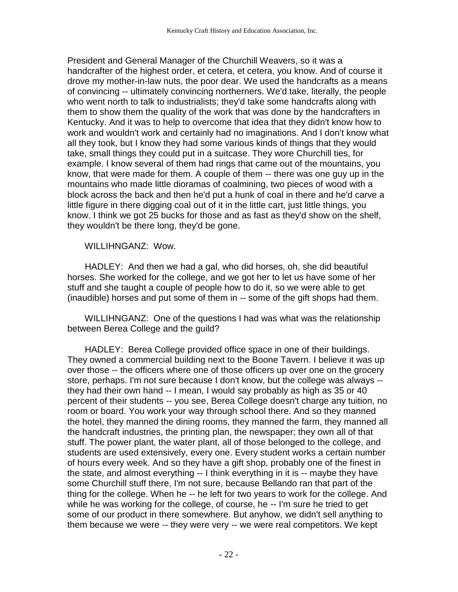President and General Manager of the Churchill Weavers, so it was a handcrafter of the highest order, et cetera, et cetera, you know. And of course it drove my mother-in-law nuts, the poor dear. We used the handcrafts as a means of convincing -- ultimately convincing northerners. We'd take, literally, the people who went north to talk to industrialists; they'd take some handcrafts along with them to show them the quality of the work that was done by the handcrafters in Kentucky. And it was to help to overcome that idea that they didn't know how to work and wouldn't work and certainly had no imaginations. And I don't know what all they took, but I know they had some various kinds of things that they would take, small things they could put in a suitcase. They wore Churchill ties, for example. I know several of them had rings that came out of the mountains, you know, that were made for them. A couple of them -- there was one guy up in the mountains who made little dioramas of coalmining, two pieces of wood with a block across the back and then he'd put a hunk of coal in there and he'd carve a little figure in there digging coal out of it in the little cart, just little things, you know. I think we got 25 bucks for those and as fast as they'd show on the shelf, they wouldn't be there long, they'd be gone.

## WILLIHNGANZ: Wow.

 HADLEY: And then we had a gal, who did horses, oh, she did beautiful horses. She worked for the college, and we got her to let us have some of her stuff and she taught a couple of people how to do it, so we were able to get (inaudible) horses and put some of them in -- some of the gift shops had them.

 WILLIHNGANZ: One of the questions I had was what was the relationship between Berea College and the guild?

 HADLEY: Berea College provided office space in one of their buildings. They owned a commercial building next to the Boone Tavern. I believe it was up over those -- the officers where one of those officers up over one on the grocery store, perhaps. I'm not sure because I don't know, but the college was always - they had their own hand -- I mean, I would say probably as high as 35 or 40 percent of their students -- you see, Berea College doesn't charge any tuition, no room or board. You work your way through school there. And so they manned the hotel, they manned the dining rooms, they manned the farm, they manned all the handcraft industries, the printing plan, the newspaper; they own all of that stuff. The power plant, the water plant, all of those belonged to the college, and students are used extensively, every one. Every student works a certain number of hours every week. And so they have a gift shop, probably one of the finest in the state, and almost everything -- I think everything in it is -- maybe they have some Churchill stuff there, I'm not sure, because Bellando ran that part of the thing for the college. When he -- he left for two years to work for the college. And while he was working for the college, of course, he -- I'm sure he tried to get some of our product in there somewhere. But anyhow, we didn't sell anything to them because we were -- they were very -- we were real competitors. We kept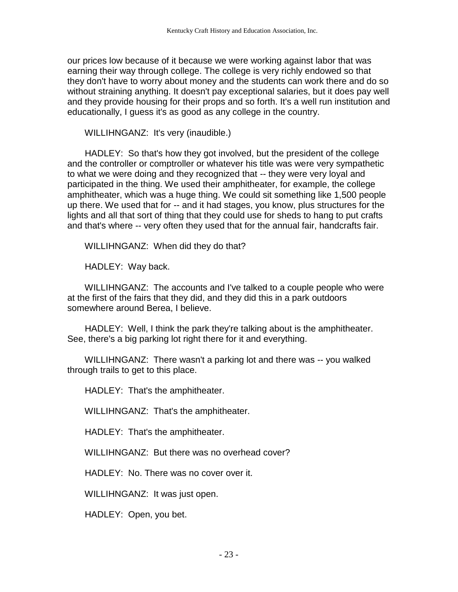our prices low because of it because we were working against labor that was earning their way through college. The college is very richly endowed so that they don't have to worry about money and the students can work there and do so without straining anything. It doesn't pay exceptional salaries, but it does pay well and they provide housing for their props and so forth. It's a well run institution and educationally, I guess it's as good as any college in the country.

WILLIHNGANZ: It's very (inaudible.)

 HADLEY: So that's how they got involved, but the president of the college and the controller or comptroller or whatever his title was were very sympathetic to what we were doing and they recognized that -- they were very loyal and participated in the thing. We used their amphitheater, for example, the college amphitheater, which was a huge thing. We could sit something like 1,500 people up there. We used that for -- and it had stages, you know, plus structures for the lights and all that sort of thing that they could use for sheds to hang to put crafts and that's where -- very often they used that for the annual fair, handcrafts fair.

WILLIHNGANZ: When did they do that?

HADLEY: Way back.

 WILLIHNGANZ: The accounts and I've talked to a couple people who were at the first of the fairs that they did, and they did this in a park outdoors somewhere around Berea, I believe.

 HADLEY: Well, I think the park they're talking about is the amphitheater. See, there's a big parking lot right there for it and everything.

 WILLIHNGANZ: There wasn't a parking lot and there was -- you walked through trails to get to this place.

HADLEY: That's the amphitheater.

WILLIHNGANZ: That's the amphitheater.

HADLEY: That's the amphitheater.

WILLIHNGANZ: But there was no overhead cover?

HADLEY: No. There was no cover over it.

WILLIHNGANZ: It was just open.

HADLEY: Open, you bet.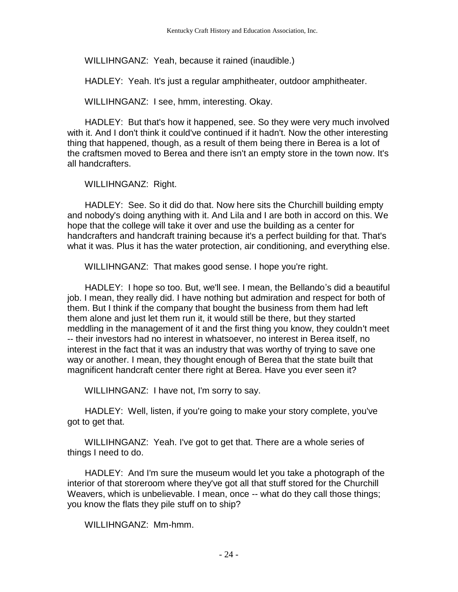WILLIHNGANZ: Yeah, because it rained (inaudible.)

HADLEY: Yeah. It's just a regular amphitheater, outdoor amphitheater.

WILLIHNGANZ: I see, hmm, interesting. Okay.

 HADLEY: But that's how it happened, see. So they were very much involved with it. And I don't think it could've continued if it hadn't. Now the other interesting thing that happened, though, as a result of them being there in Berea is a lot of the craftsmen moved to Berea and there isn't an empty store in the town now. It's all handcrafters.

WILLIHNGANZ: Right.

 HADLEY: See. So it did do that. Now here sits the Churchill building empty and nobody's doing anything with it. And Lila and I are both in accord on this. We hope that the college will take it over and use the building as a center for handcrafters and handcraft training because it's a perfect building for that. That's what it was. Plus it has the water protection, air conditioning, and everything else.

WILLIHNGANZ: That makes good sense. I hope you're right.

 HADLEY: I hope so too. But, we'll see. I mean, the Bellando's did a beautiful job. I mean, they really did. I have nothing but admiration and respect for both of them. But I think if the company that bought the business from them had left them alone and just let them run it, it would still be there, but they started meddling in the management of it and the first thing you know, they couldn't meet -- their investors had no interest in whatsoever, no interest in Berea itself, no interest in the fact that it was an industry that was worthy of trying to save one way or another. I mean, they thought enough of Berea that the state built that magnificent handcraft center there right at Berea. Have you ever seen it?

WILLIHNGANZ: I have not, I'm sorry to say.

 HADLEY: Well, listen, if you're going to make your story complete, you've got to get that.

 WILLIHNGANZ: Yeah. I've got to get that. There are a whole series of things I need to do.

 HADLEY: And I'm sure the museum would let you take a photograph of the interior of that storeroom where they've got all that stuff stored for the Churchill Weavers, which is unbelievable. I mean, once -- what do they call those things; you know the flats they pile stuff on to ship?

WILLIHNGANZ: Mm-hmm.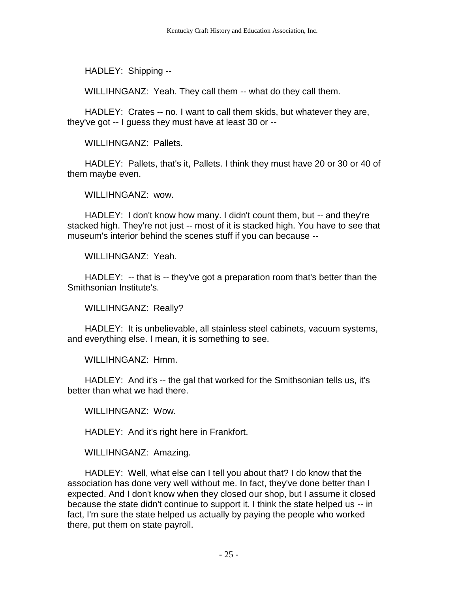HADLEY: Shipping --

WILLIHNGANZ: Yeah. They call them -- what do they call them.

 HADLEY: Crates -- no. I want to call them skids, but whatever they are, they've got -- I guess they must have at least 30 or --

WILLIHNGANZ: Pallets.

 HADLEY: Pallets, that's it, Pallets. I think they must have 20 or 30 or 40 of them maybe even.

WILLIHNGANZ: wow.

 HADLEY: I don't know how many. I didn't count them, but -- and they're stacked high. They're not just -- most of it is stacked high. You have to see that museum's interior behind the scenes stuff if you can because --

WILLIHNGANZ: Yeah.

 HADLEY: -- that is -- they've got a preparation room that's better than the Smithsonian Institute's.

WILLIHNGANZ: Really?

 HADLEY: It is unbelievable, all stainless steel cabinets, vacuum systems, and everything else. I mean, it is something to see.

WILLIHNGANZ: Hmm.

 HADLEY: And it's -- the gal that worked for the Smithsonian tells us, it's better than what we had there.

WILLIHNGANZ: Wow.

HADLEY: And it's right here in Frankfort.

WILLIHNGANZ: Amazing.

 HADLEY: Well, what else can I tell you about that? I do know that the association has done very well without me. In fact, they've done better than I expected. And I don't know when they closed our shop, but I assume it closed because the state didn't continue to support it. I think the state helped us -- in fact, I'm sure the state helped us actually by paying the people who worked there, put them on state payroll.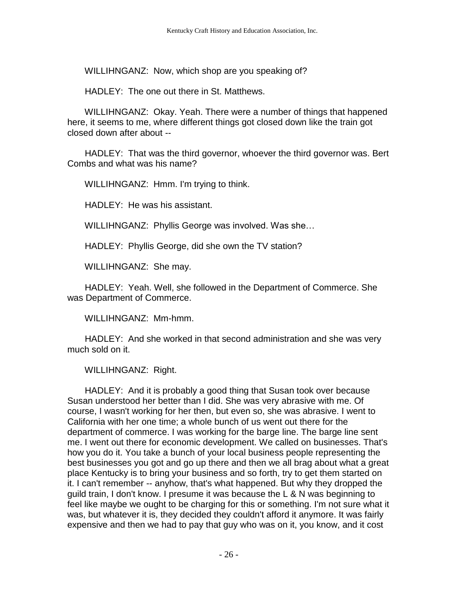WILLIHNGANZ: Now, which shop are you speaking of?

HADLEY: The one out there in St. Matthews.

 WILLIHNGANZ: Okay. Yeah. There were a number of things that happened here, it seems to me, where different things got closed down like the train got closed down after about --

 HADLEY: That was the third governor, whoever the third governor was. Bert Combs and what was his name?

WILLIHNGANZ: Hmm. I'm trying to think.

HADLEY: He was his assistant.

WILLIHNGANZ: Phyllis George was involved. Was she…

HADLEY: Phyllis George, did she own the TV station?

WILLIHNGANZ: She may.

 HADLEY: Yeah. Well, she followed in the Department of Commerce. She was Department of Commerce.

WILLIHNGANZ: Mm-hmm.

 HADLEY: And she worked in that second administration and she was very much sold on it.

WILLIHNGANZ: Right.

 HADLEY: And it is probably a good thing that Susan took over because Susan understood her better than I did. She was very abrasive with me. Of course, I wasn't working for her then, but even so, she was abrasive. I went to California with her one time; a whole bunch of us went out there for the department of commerce. I was working for the barge line. The barge line sent me. I went out there for economic development. We called on businesses. That's how you do it. You take a bunch of your local business people representing the best businesses you got and go up there and then we all brag about what a great place Kentucky is to bring your business and so forth, try to get them started on it. I can't remember -- anyhow, that's what happened. But why they dropped the guild train, I don't know. I presume it was because the L & N was beginning to feel like maybe we ought to be charging for this or something. I'm not sure what it was, but whatever it is, they decided they couldn't afford it anymore. It was fairly expensive and then we had to pay that guy who was on it, you know, and it cost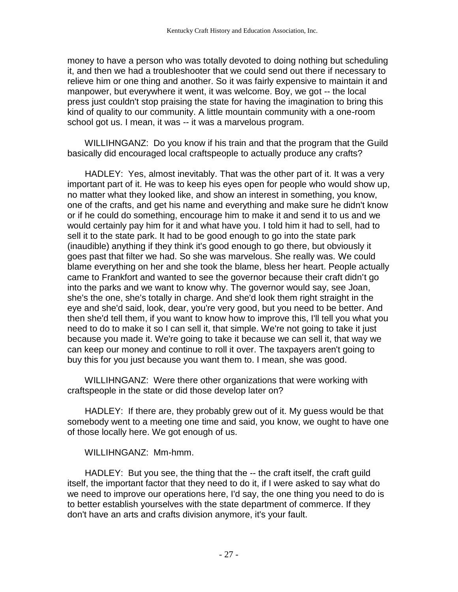money to have a person who was totally devoted to doing nothing but scheduling it, and then we had a troubleshooter that we could send out there if necessary to relieve him or one thing and another. So it was fairly expensive to maintain it and manpower, but everywhere it went, it was welcome. Boy, we got -- the local press just couldn't stop praising the state for having the imagination to bring this kind of quality to our community. A little mountain community with a one-room school got us. I mean, it was -- it was a marvelous program.

 WILLIHNGANZ: Do you know if his train and that the program that the Guild basically did encouraged local craftspeople to actually produce any crafts?

 HADLEY: Yes, almost inevitably. That was the other part of it. It was a very important part of it. He was to keep his eyes open for people who would show up, no matter what they looked like, and show an interest in something, you know, one of the crafts, and get his name and everything and make sure he didn't know or if he could do something, encourage him to make it and send it to us and we would certainly pay him for it and what have you. I told him it had to sell, had to sell it to the state park. It had to be good enough to go into the state park (inaudible) anything if they think it's good enough to go there, but obviously it goes past that filter we had. So she was marvelous. She really was. We could blame everything on her and she took the blame, bless her heart. People actually came to Frankfort and wanted to see the governor because their craft didn't go into the parks and we want to know why. The governor would say, see Joan, she's the one, she's totally in charge. And she'd look them right straight in the eye and she'd said, look, dear, you're very good, but you need to be better. And then she'd tell them, if you want to know how to improve this, I'll tell you what you need to do to make it so I can sell it, that simple. We're not going to take it just because you made it. We're going to take it because we can sell it, that way we can keep our money and continue to roll it over. The taxpayers aren't going to buy this for you just because you want them to. I mean, she was good.

 WILLIHNGANZ: Were there other organizations that were working with craftspeople in the state or did those develop later on?

 HADLEY: If there are, they probably grew out of it. My guess would be that somebody went to a meeting one time and said, you know, we ought to have one of those locally here. We got enough of us.

# WILLIHNGANZ: Mm-hmm.

HADLEY: But you see, the thing that the -- the craft itself, the craft guild itself, the important factor that they need to do it, if I were asked to say what do we need to improve our operations here, I'd say, the one thing you need to do is to better establish yourselves with the state department of commerce. If they don't have an arts and crafts division anymore, it's your fault.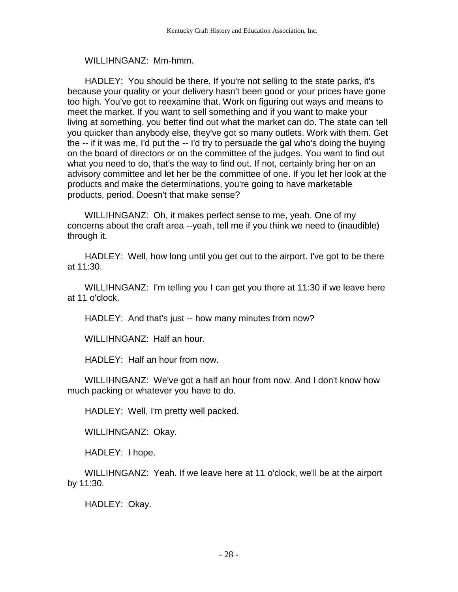## WILLIHNGANZ: Mm-hmm.

 HADLEY: You should be there. If you're not selling to the state parks, it's because your quality or your delivery hasn't been good or your prices have gone too high. You've got to reexamine that. Work on figuring out ways and means to meet the market. If you want to sell something and if you want to make your living at something, you better find out what the market can do. The state can tell you quicker than anybody else, they've got so many outlets. Work with them. Get the -- if it was me, I'd put the -- I'd try to persuade the gal who's doing the buying on the board of directors or on the committee of the judges. You want to find out what you need to do, that's the way to find out. If not, certainly bring her on an advisory committee and let her be the committee of one. If you let her look at the products and make the determinations, you're going to have marketable products, period. Doesn't that make sense?

 WILLIHNGANZ: Oh, it makes perfect sense to me, yeah. One of my concerns about the craft area --yeah, tell me if you think we need to (inaudible) through it.

 HADLEY: Well, how long until you get out to the airport. I've got to be there at 11:30.

 WILLIHNGANZ: I'm telling you I can get you there at 11:30 if we leave here at 11 o'clock.

HADLEY: And that's just -- how many minutes from now?

WILLIHNGANZ: Half an hour.

HADLEY: Half an hour from now.

 WILLIHNGANZ: We've got a half an hour from now. And I don't know how much packing or whatever you have to do.

HADLEY: Well, I'm pretty well packed.

WILLIHNGANZ: Okay.

HADLEY: I hope.

 WILLIHNGANZ: Yeah. If we leave here at 11 o'clock, we'll be at the airport by 11:30.

HADLEY: Okay.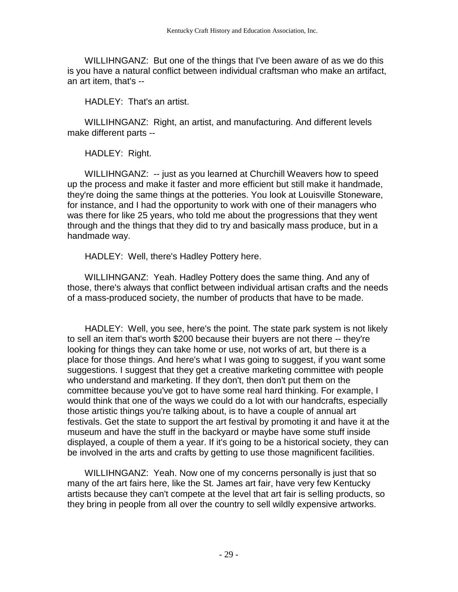WILLIHNGANZ: But one of the things that I've been aware of as we do this is you have a natural conflict between individual craftsman who make an artifact, an art item, that's --

HADLEY: That's an artist.

 WILLIHNGANZ: Right, an artist, and manufacturing. And different levels make different parts --

HADLEY: Right.

 WILLIHNGANZ: -- just as you learned at Churchill Weavers how to speed up the process and make it faster and more efficient but still make it handmade, they're doing the same things at the potteries. You look at Louisville Stoneware, for instance, and I had the opportunity to work with one of their managers who was there for like 25 years, who told me about the progressions that they went through and the things that they did to try and basically mass produce, but in a handmade way.

HADLEY: Well, there's Hadley Pottery here.

 WILLIHNGANZ: Yeah. Hadley Pottery does the same thing. And any of those, there's always that conflict between individual artisan crafts and the needs of a mass-produced society, the number of products that have to be made.

 HADLEY: Well, you see, here's the point. The state park system is not likely to sell an item that's worth \$200 because their buyers are not there -- they're looking for things they can take home or use, not works of art, but there is a place for those things. And here's what I was going to suggest, if you want some suggestions. I suggest that they get a creative marketing committee with people who understand and marketing. If they don't, then don't put them on the committee because you've got to have some real hard thinking. For example, I would think that one of the ways we could do a lot with our handcrafts, especially those artistic things you're talking about, is to have a couple of annual art festivals. Get the state to support the art festival by promoting it and have it at the museum and have the stuff in the backyard or maybe have some stuff inside displayed, a couple of them a year. If it's going to be a historical society, they can be involved in the arts and crafts by getting to use those magnificent facilities.

 WILLIHNGANZ: Yeah. Now one of my concerns personally is just that so many of the art fairs here, like the St. James art fair, have very few Kentucky artists because they can't compete at the level that art fair is selling products, so they bring in people from all over the country to sell wildly expensive artworks.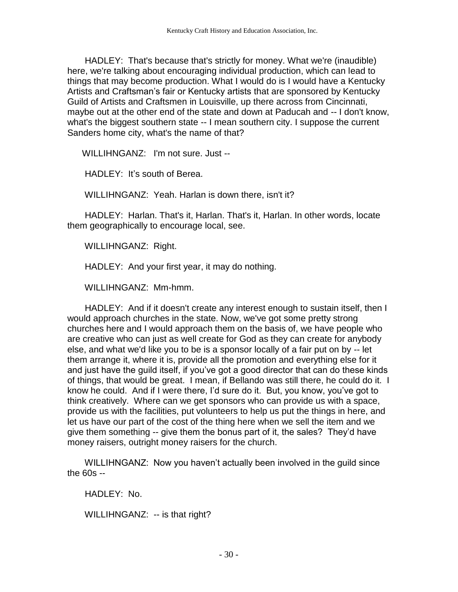HADLEY: That's because that's strictly for money. What we're (inaudible) here, we're talking about encouraging individual production, which can lead to things that may become production. What I would do is I would have a Kentucky Artists and Craftsman's fair or Kentucky artists that are sponsored by Kentucky Guild of Artists and Craftsmen in Louisville, up there across from Cincinnati, maybe out at the other end of the state and down at Paducah and -- I don't know, what's the biggest southern state -- I mean southern city. I suppose the current Sanders home city, what's the name of that?

WILLIHNGANZ: I'm not sure. Just --

HADLEY: It's south of Berea.

WILLIHNGANZ: Yeah. Harlan is down there, isn't it?

 HADLEY: Harlan. That's it, Harlan. That's it, Harlan. In other words, locate them geographically to encourage local, see.

WILLIHNGANZ: Right.

HADLEY: And your first year, it may do nothing.

WILLIHNGANZ: Mm-hmm.

 HADLEY: And if it doesn't create any interest enough to sustain itself, then I would approach churches in the state. Now, we've got some pretty strong churches here and I would approach them on the basis of, we have people who are creative who can just as well create for God as they can create for anybody else, and what we'd like you to be is a sponsor locally of a fair put on by -- let them arrange it, where it is, provide all the promotion and everything else for it and just have the guild itself, if you've got a good director that can do these kinds of things, that would be great. I mean, if Bellando was still there, he could do it. I know he could. And if I were there, I'd sure do it. But, you know, you've got to think creatively. Where can we get sponsors who can provide us with a space, provide us with the facilities, put volunteers to help us put the things in here, and let us have our part of the cost of the thing here when we sell the item and we give them something -- give them the bonus part of it, the sales? They'd have money raisers, outright money raisers for the church.

 WILLIHNGANZ: Now you haven't actually been involved in the guild since the 60s --

HADI FY: No.

WILLIHNGANZ: -- is that right?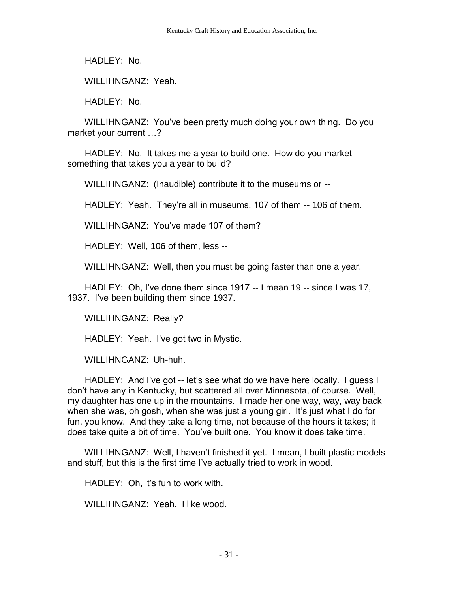HADLEY: No.

WILLIHNGANZ: Yeah.

HADLEY: No.

 WILLIHNGANZ: You've been pretty much doing your own thing. Do you market your current …?

 HADLEY: No. It takes me a year to build one. How do you market something that takes you a year to build?

WILLIHNGANZ: (Inaudible) contribute it to the museums or --

HADLEY: Yeah. They're all in museums, 107 of them -- 106 of them.

WILLIHNGANZ: You've made 107 of them?

HADLEY: Well, 106 of them, less --

WILLIHNGANZ: Well, then you must be going faster than one a year.

 HADLEY: Oh, I've done them since 1917 -- I mean 19 -- since I was 17, 1937. I've been building them since 1937.

WILLIHNGANZ: Really?

HADLEY: Yeah. I've got two in Mystic.

WILLIHNGANZ: Uh-huh.

 HADLEY: And I've got -- let's see what do we have here locally. I guess I don't have any in Kentucky, but scattered all over Minnesota, of course. Well, my daughter has one up in the mountains. I made her one way, way, way back when she was, oh gosh, when she was just a young girl. It's just what I do for fun, you know. And they take a long time, not because of the hours it takes; it does take quite a bit of time. You've built one. You know it does take time.

 WILLIHNGANZ: Well, I haven't finished it yet. I mean, I built plastic models and stuff, but this is the first time I've actually tried to work in wood.

HADLEY: Oh, it's fun to work with.

WILLIHNGANZ: Yeah. I like wood.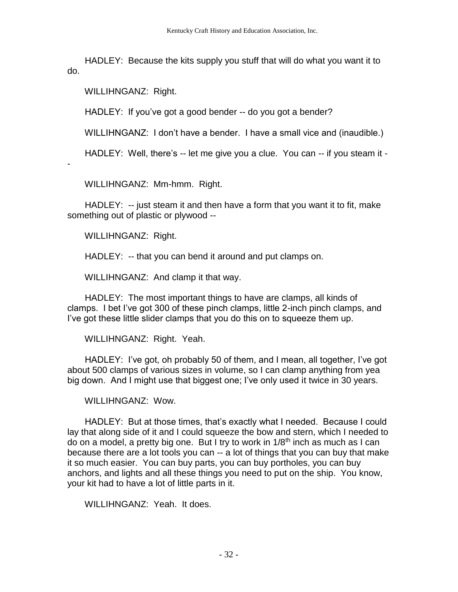HADLEY: Because the kits supply you stuff that will do what you want it to do.

WILLIHNGANZ: Right.

HADLEY: If you've got a good bender -- do you got a bender?

WILLIHNGANZ: I don't have a bender. I have a small vice and (inaudible.)

HADLEY: Well, there's -- let me give you a clue. You can -- if you steam it -

-

WILLIHNGANZ: Mm-hmm. Right.

HADLEY: -- just steam it and then have a form that you want it to fit, make something out of plastic or plywood --

WILLIHNGANZ: Right.

HADLEY: -- that you can bend it around and put clamps on.

WILLIHNGANZ: And clamp it that way.

 HADLEY: The most important things to have are clamps, all kinds of clamps. I bet I've got 300 of these pinch clamps, little 2-inch pinch clamps, and I've got these little slider clamps that you do this on to squeeze them up.

WILLIHNGANZ: Right. Yeah.

 HADLEY: I've got, oh probably 50 of them, and I mean, all together, I've got about 500 clamps of various sizes in volume, so I can clamp anything from yea big down. And I might use that biggest one; I've only used it twice in 30 years.

WILLIHNGANZ: Wow.

 HADLEY: But at those times, that's exactly what I needed. Because I could lay that along side of it and I could squeeze the bow and stern, which I needed to do on a model, a pretty big one. But I try to work in  $1/8<sup>th</sup>$  inch as much as I can because there are a lot tools you can -- a lot of things that you can buy that make it so much easier. You can buy parts, you can buy portholes, you can buy anchors, and lights and all these things you need to put on the ship. You know, your kit had to have a lot of little parts in it.

WILLIHNGANZ: Yeah. It does.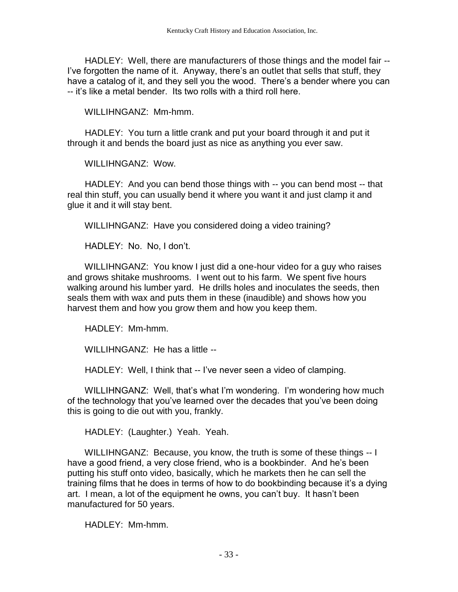HADLEY: Well, there are manufacturers of those things and the model fair -- I've forgotten the name of it. Anyway, there's an outlet that sells that stuff, they have a catalog of it, and they sell you the wood. There's a bender where you can -- it's like a metal bender. Its two rolls with a third roll here.

WILLIHNGANZ: Mm-hmm.

 HADLEY: You turn a little crank and put your board through it and put it through it and bends the board just as nice as anything you ever saw.

WILLIHNGANZ: Wow.

 HADLEY: And you can bend those things with -- you can bend most -- that real thin stuff, you can usually bend it where you want it and just clamp it and glue it and it will stay bent.

WILLIHNGANZ: Have you considered doing a video training?

HADLEY: No. No, I don't.

 WILLIHNGANZ: You know I just did a one-hour video for a guy who raises and grows shitake mushrooms. I went out to his farm. We spent five hours walking around his lumber yard. He drills holes and inoculates the seeds, then seals them with wax and puts them in these (inaudible) and shows how you harvest them and how you grow them and how you keep them.

HADLEY: Mm-hmm.

WILLIHNGANZ: He has a little --

HADLEY: Well, I think that -- I've never seen a video of clamping.

 WILLIHNGANZ: Well, that's what I'm wondering. I'm wondering how much of the technology that you've learned over the decades that you've been doing this is going to die out with you, frankly.

HADLEY: (Laughter.) Yeah. Yeah.

 WILLIHNGANZ: Because, you know, the truth is some of these things -- I have a good friend, a very close friend, who is a bookbinder. And he's been putting his stuff onto video, basically, which he markets then he can sell the training films that he does in terms of how to do bookbinding because it's a dying art. I mean, a lot of the equipment he owns, you can't buy. It hasn't been manufactured for 50 years.

HADLEY: Mm-hmm.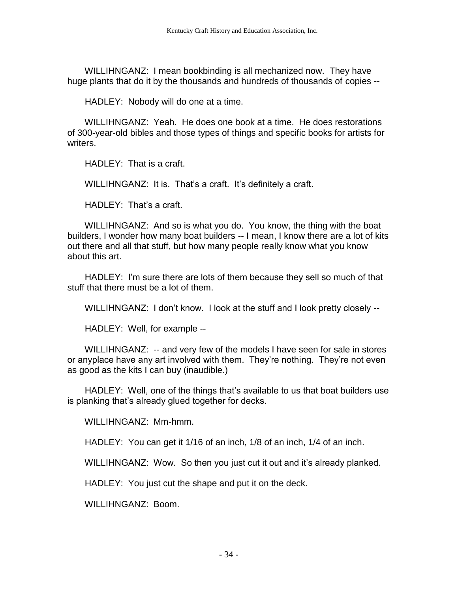WILLIHNGANZ: I mean bookbinding is all mechanized now. They have huge plants that do it by the thousands and hundreds of thousands of copies --

HADLEY: Nobody will do one at a time.

 WILLIHNGANZ: Yeah. He does one book at a time. He does restorations of 300-year-old bibles and those types of things and specific books for artists for writers.

HADLEY: That is a craft.

WILLIHNGANZ: It is. That's a craft. It's definitely a craft.

HADLEY: That's a craft.

 WILLIHNGANZ: And so is what you do. You know, the thing with the boat builders, I wonder how many boat builders -- I mean, I know there are a lot of kits out there and all that stuff, but how many people really know what you know about this art.

 HADLEY: I'm sure there are lots of them because they sell so much of that stuff that there must be a lot of them.

WILLIHNGANZ: I don't know. I look at the stuff and I look pretty closely --

HADLEY: Well, for example --

 WILLIHNGANZ: -- and very few of the models I have seen for sale in stores or anyplace have any art involved with them. They're nothing. They're not even as good as the kits I can buy (inaudible.)

 HADLEY: Well, one of the things that's available to us that boat builders use is planking that's already glued together for decks.

WILLIHNGANZ: Mm-hmm.

HADLEY: You can get it 1/16 of an inch, 1/8 of an inch, 1/4 of an inch.

WILLIHNGANZ: Wow. So then you just cut it out and it's already planked.

HADLEY: You just cut the shape and put it on the deck.

WILLIHNGANZ: Boom.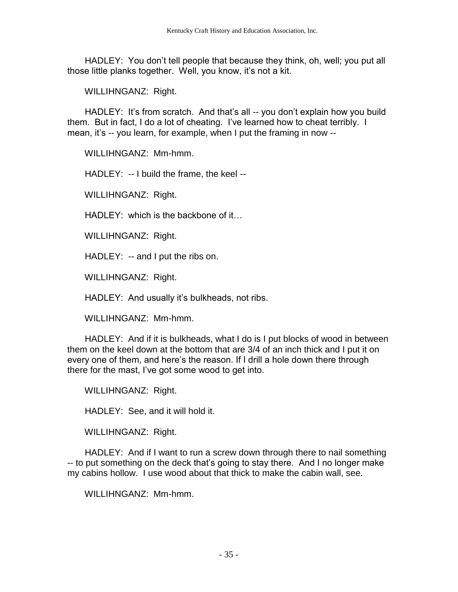HADLEY: You don't tell people that because they think, oh, well; you put all those little planks together. Well, you know, it's not a kit.

WILLIHNGANZ: Right.

 HADLEY: It's from scratch. And that's all -- you don't explain how you build them. But in fact, I do a lot of cheating. I've learned how to cheat terribly. I mean, it's -- you learn, for example, when I put the framing in now --

WILLIHNGANZ: Mm-hmm.

HADLEY: -- I build the frame, the keel --

WILLIHNGANZ: Right.

HADLEY: which is the backbone of it…

WILLIHNGANZ: Right.

HADLEY: -- and I put the ribs on.

WILLIHNGANZ: Right.

HADLEY: And usually it's bulkheads, not ribs.

WILLIHNGANZ: Mm-hmm.

 HADLEY: And if it is bulkheads, what I do is I put blocks of wood in between them on the keel down at the bottom that are 3/4 of an inch thick and I put it on every one of them, and here's the reason. If I drill a hole down there through there for the mast, I've got some wood to get into.

WILLIHNGANZ: Right.

HADLEY: See, and it will hold it.

WILLIHNGANZ: Right.

HADLEY: And if I want to run a screw down through there to nail something -- to put something on the deck that's going to stay there. And I no longer make my cabins hollow. I use wood about that thick to make the cabin wall, see.

WILLIHNGANZ: Mm-hmm.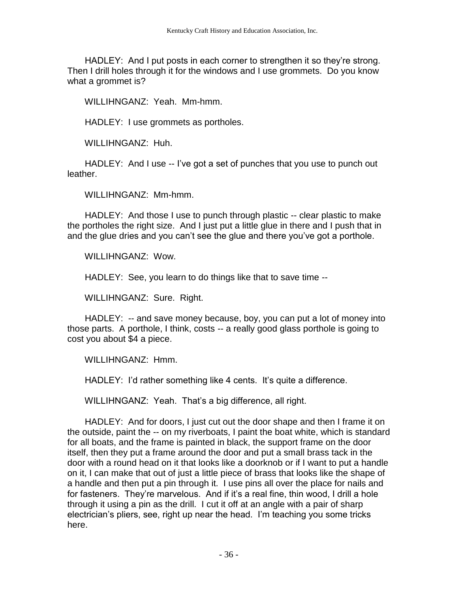HADLEY: And I put posts in each corner to strengthen it so they're strong. Then I drill holes through it for the windows and I use grommets. Do you know what a grommet is?

WILLIHNGANZ: Yeah. Mm-hmm.

HADLEY: I use grommets as portholes.

WILLIHNGANZ: Huh.

 HADLEY: And I use -- I've got a set of punches that you use to punch out leather.

WILLIHNGANZ: Mm-hmm.

HADLEY: And those I use to punch through plastic -- clear plastic to make the portholes the right size. And I just put a little glue in there and I push that in and the glue dries and you can't see the glue and there you've got a porthole.

WILLIHNGANZ: Wow.

HADLEY: See, you learn to do things like that to save time --

WILLIHNGANZ: Sure. Right.

 HADLEY: -- and save money because, boy, you can put a lot of money into those parts. A porthole, I think, costs -- a really good glass porthole is going to cost you about \$4 a piece.

WILLIHNGANZ: Hmm.

HADLEY: I'd rather something like 4 cents. It's quite a difference.

WILLIHNGANZ: Yeah. That's a big difference, all right.

 HADLEY: And for doors, I just cut out the door shape and then I frame it on the outside, paint the -- on my riverboats, I paint the boat white, which is standard for all boats, and the frame is painted in black, the support frame on the door itself, then they put a frame around the door and put a small brass tack in the door with a round head on it that looks like a doorknob or if I want to put a handle on it, I can make that out of just a little piece of brass that looks like the shape of a handle and then put a pin through it. I use pins all over the place for nails and for fasteners. They're marvelous. And if it's a real fine, thin wood, I drill a hole through it using a pin as the drill. I cut it off at an angle with a pair of sharp electrician's pliers, see, right up near the head. I'm teaching you some tricks here.